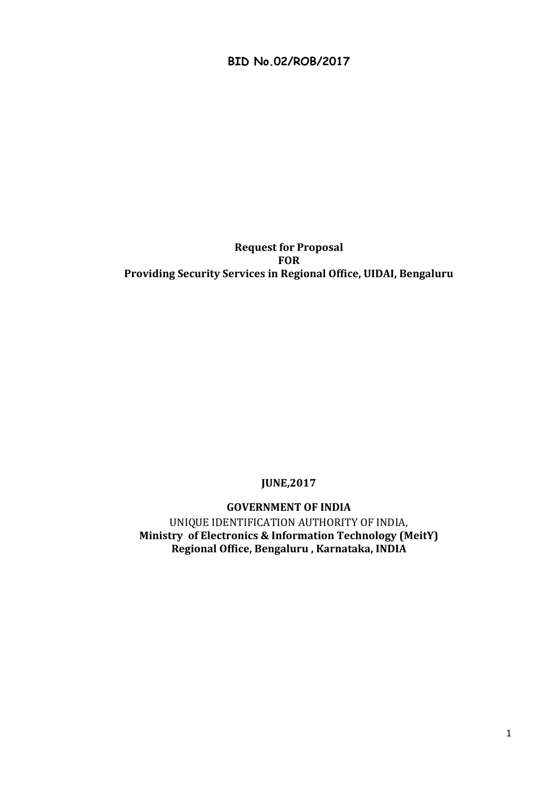**BID No.02/ROB/2017**

#### **Request for Proposal FOR Providing Security Services in Regional Office, UIDAI, Bengaluru**

# **JUNE,2017**

**GOVERNMENT OF INDIA**

UNIQUE IDENTIFICATION AUTHORITY OF INDIA, **Ministry of Electronics & Information Technology (MeitY) Regional Office, Bengaluru , Karnataka, INDIA**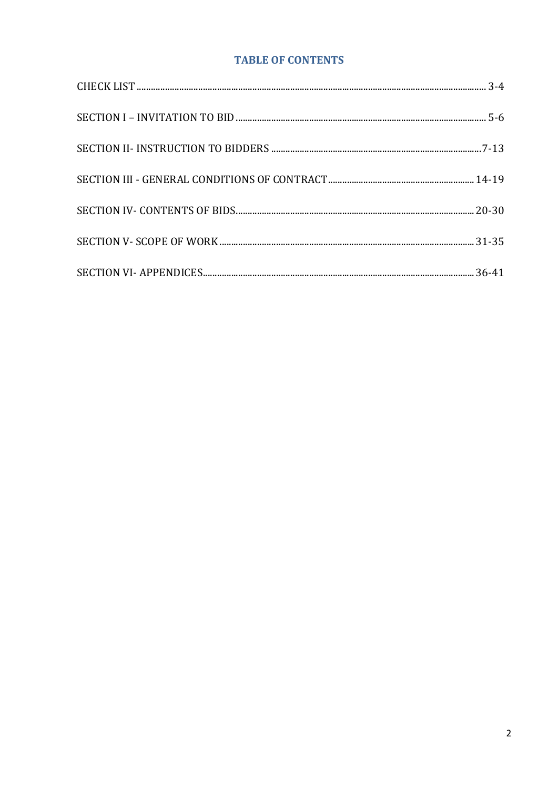# **TABLE OF CONTENTS**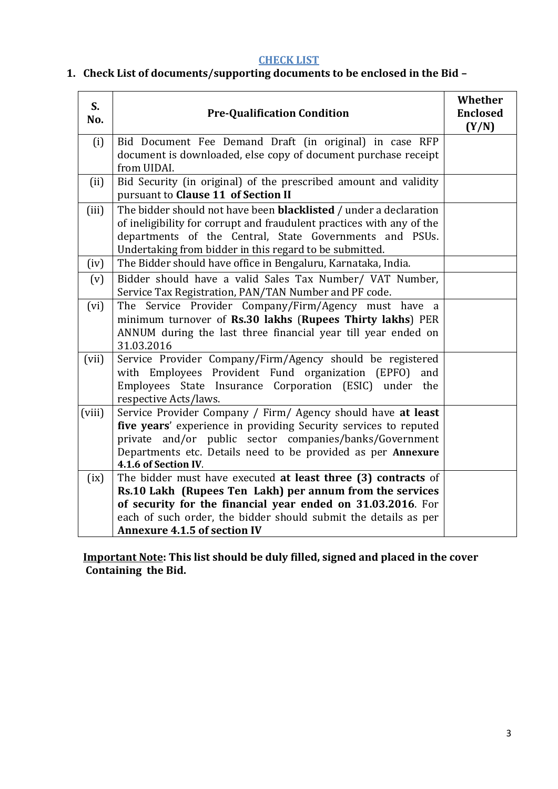# **CHECK LIST**

# <span id="page-2-0"></span>**1. Check List of documents/supporting documents to be enclosed in the Bid –**

| S.<br>No. | <b>Pre-Qualification Condition</b>                                                                                                                                                                                                                                                  | Whether<br><b>Enclosed</b><br>(Y/N) |
|-----------|-------------------------------------------------------------------------------------------------------------------------------------------------------------------------------------------------------------------------------------------------------------------------------------|-------------------------------------|
| (i)       | Bid Document Fee Demand Draft (in original) in case RFP<br>document is downloaded, else copy of document purchase receipt<br>from UIDAI.                                                                                                                                            |                                     |
| (ii)      | Bid Security (in original) of the prescribed amount and validity<br>pursuant to Clause 11 of Section II                                                                                                                                                                             |                                     |
| (iii)     | The bidder should not have been <b>blacklisted</b> / under a declaration<br>of ineligibility for corrupt and fraudulent practices with any of the<br>departments of the Central, State Governments and PSUs.<br>Undertaking from bidder in this regard to be submitted.             |                                     |
| (iv)      | The Bidder should have office in Bengaluru, Karnataka, India.                                                                                                                                                                                                                       |                                     |
| (v)       | Bidder should have a valid Sales Tax Number/ VAT Number,<br>Service Tax Registration, PAN/TAN Number and PF code.                                                                                                                                                                   |                                     |
| (vi)      | The Service Provider Company/Firm/Agency must have a<br>minimum turnover of Rs.30 lakhs (Rupees Thirty lakhs) PER<br>ANNUM during the last three financial year till year ended on<br>31.03.2016                                                                                    |                                     |
| (vii)     | Service Provider Company/Firm/Agency should be registered<br>with Employees Provident Fund organization (EPFO)<br>and<br>Employees State Insurance Corporation (ESIC) under the<br>respective Acts/laws.                                                                            |                                     |
| (viii)    | Service Provider Company / Firm/ Agency should have at least<br>five years' experience in providing Security services to reputed<br>private and/or public sector companies/banks/Government<br>Departments etc. Details need to be provided as per Annexure<br>4.1.6 of Section IV. |                                     |
| (ix)      | The bidder must have executed at least three (3) contracts of                                                                                                                                                                                                                       |                                     |
|           | Rs.10 Lakh (Rupees Ten Lakh) per annum from the services                                                                                                                                                                                                                            |                                     |
|           | of security for the financial year ended on 31.03.2016. For<br>each of such order, the bidder should submit the details as per                                                                                                                                                      |                                     |
|           | <b>Annexure 4.1.5 of section IV</b>                                                                                                                                                                                                                                                 |                                     |

**Important Note: This list should be duly filled, signed and placed in the cover Containing the Bid.**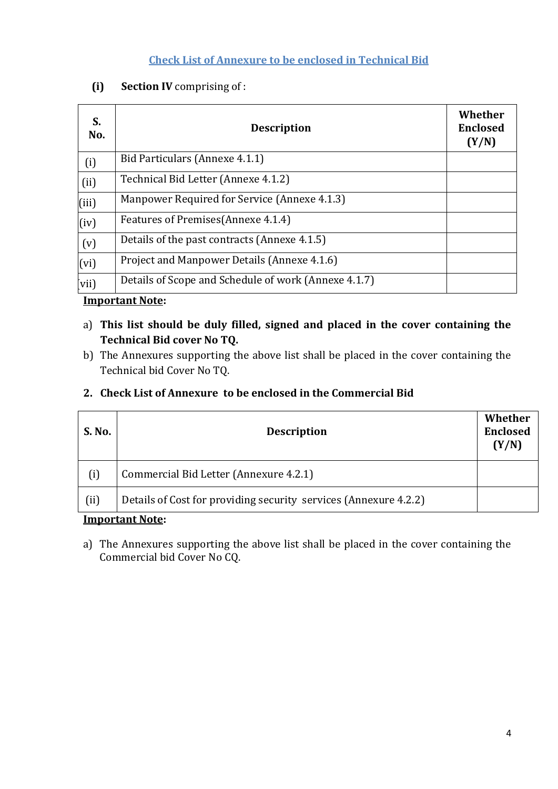# **Check List of Annexure to be enclosed in Technical Bid**

# **(i) Section IV** comprising of :

| S.<br>No. | <b>Description</b>                                   | Whether<br><b>Enclosed</b><br>(Y/N) |
|-----------|------------------------------------------------------|-------------------------------------|
| (i)       | Bid Particulars (Annexe 4.1.1)                       |                                     |
| (ii)      | Technical Bid Letter (Annexe 4.1.2)                  |                                     |
| (iii)     | Manpower Required for Service (Annexe 4.1.3)         |                                     |
| (iv)      | Features of Premises (Annexe 4.1.4)                  |                                     |
| (v)       | Details of the past contracts (Annexe 4.1.5)         |                                     |
| (vi)      | Project and Manpower Details (Annexe 4.1.6)          |                                     |
| vii)      | Details of Scope and Schedule of work (Annexe 4.1.7) |                                     |

#### **Important Note:**

- a) **This list should be duly filled, signed and placed in the cover containing the Technical Bid cover No TQ.**
- b) The Annexures supporting the above list shall be placed in the cover containing the Technical bid Cover No TQ.

| <b>S. No.</b> | <b>Description</b>                                               | Whether<br><b>Enclosed</b><br>(Y/N) |
|---------------|------------------------------------------------------------------|-------------------------------------|
| (i)           | Commercial Bid Letter (Annexure 4.2.1)                           |                                     |
| (i)           | Details of Cost for providing security services (Annexure 4.2.2) |                                     |
|               | $Imn$ ontont $N$ oto.                                            |                                     |

# **2. Check List of Annexure to be enclosed in the Commercial Bid**

#### **Important Note:**

a) The Annexures supporting the above list shall be placed in the cover containing the Commercial bid Cover No CQ.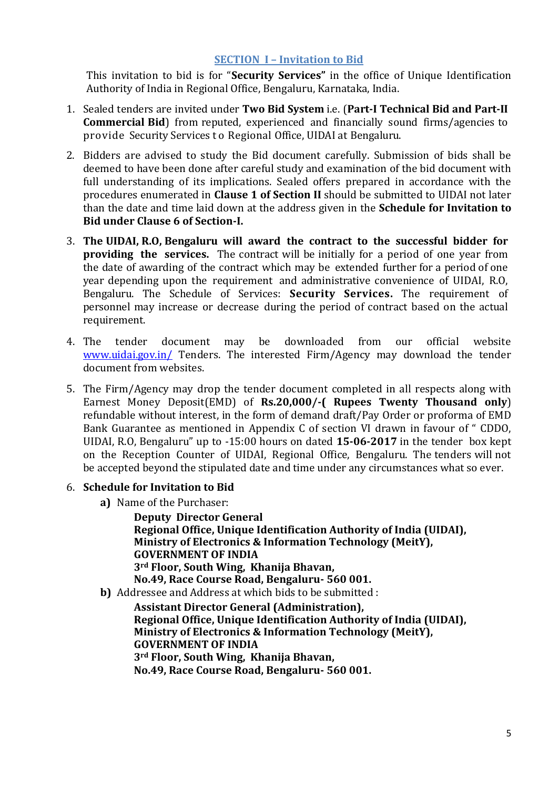#### **SECTION I – Invitation to Bid**

This invitation to bid is for "**Security Services"** in the office of Unique Identification Authority of India in Regional Office, Bengaluru, Karnataka, India.

- 1. Sealed tenders are invited under **Two Bid System** i.e. (**Part-I Technical Bid and Part-II Commercial Bid**) from reputed, experienced and financially sound firms/agencies to provide Security Services t o Regional Office, UIDAI at Bengaluru.
- 2. Bidders are advised to study the Bid document carefully. Submission of bids shall be deemed to have been done after careful study and examination of the bid document with full understanding of its implications. Sealed offers prepared in accordance with the procedures enumerated in **Clause 1 of Section II** should be submitted to UIDAI not later than the date and time laid down at the address given in the **Schedule for Invitation to Bid under Clause 6 of Section-I.**
- 3. **The UIDAI, R.O, Bengaluru will award the contract to the successful bidder for providing the services.** The contract will be initially for a period of one year from the date of awarding of the contract which may be extended further for a period of one year depending upon the requirement and administrative convenience of UIDAI, R.O, Bengaluru. The Schedule of Services: **Security Services.** The requirement of personnel may increase or decrease during the period of contract based on the actual requirement.
- 4. The tender document may be downloaded from our official website [www.uidai.gov.in/](http://www.uidai.gov.in/) Tenders. The interested Firm/Agency may download the tender document from websites.
- 5. The Firm/Agency may drop the tender document completed in all respects along with Earnest Money Deposit(EMD) of **Rs.20,000/-( Rupees Twenty Thousand only**) refundable without interest, in the form of demand draft/Pay Order or proforma of EMD Bank Guarantee as mentioned in Appendix C of section VI drawn in favour of " CDDO, UIDAI, R.O, Bengaluru" up to -15:00 hours on dated **15-06-2017** in the tender box kept on the Reception Counter of UIDAI, Regional Office, Bengaluru. The tenders will not be accepted beyond the stipulated date and time under any circumstances what so ever.

#### 6. **Schedule for Invitation to Bid**

**a)** Name of the Purchaser:

**Deputy Director General Regional Office, Unique Identification Authority of India (UIDAI), Ministry of Electronics & Information Technology (MeitY), GOVERNMENT OF INDIA 3rd Floor, South Wing, Khanija Bhavan, No.49, Race Course Road, Bengaluru- 560 001.**

**b)** Addressee and Address at which bids to be submitted :

**Assistant Director General (Administration), Regional Office, Unique Identification Authority of India (UIDAI), Ministry of Electronics & Information Technology (MeitY), GOVERNMENT OF INDIA 3rd Floor, South Wing, Khanija Bhavan, No.49, Race Course Road, Bengaluru- 560 001.**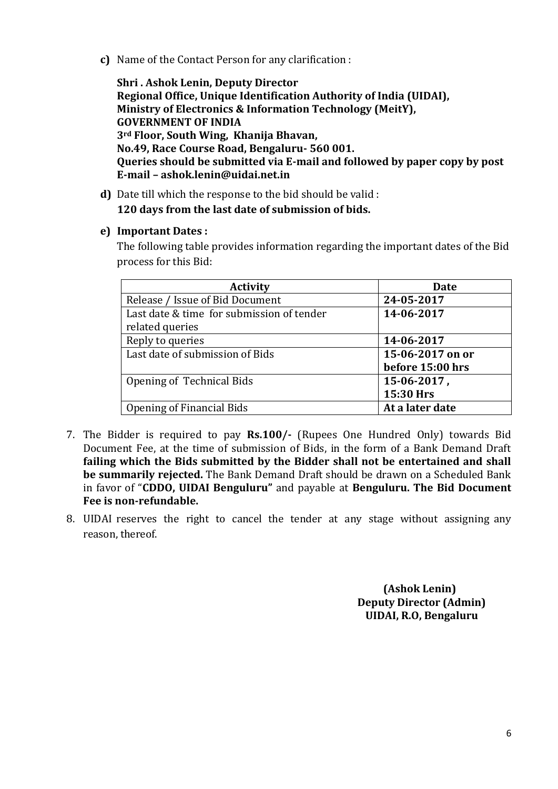**c)** Name of the Contact Person for any clarification :

**Shri . Ashok Lenin, Deputy Director Regional Office, Unique Identification Authority of India (UIDAI), Ministry of Electronics & Information Technology (MeitY), GOVERNMENT OF INDIA 3rd Floor, South Wing, Khanija Bhavan, No.49, Race Course Road, Bengaluru- 560 001. Queries should be submitted via E-mail and followed by paper copy by post E-mail – ashok.lenin@uidai.net.in**

**d)** Date till which the response to the bid should be valid : **120 days from the last date of submission of bids.**

#### **e) Important Dates :**

The following table provides information regarding the important dates of the Bid process for this Bid:

| <b>Activity</b>                           | Date             |
|-------------------------------------------|------------------|
| Release / Issue of Bid Document           | 24-05-2017       |
| Last date & time for submission of tender | 14-06-2017       |
| related queries                           |                  |
| Reply to queries                          | 14-06-2017       |
| Last date of submission of Bids           | 15-06-2017 on or |
|                                           | before 15:00 hrs |
| Opening of Technical Bids                 | 15-06-2017,      |
|                                           | 15:30 Hrs        |
| Opening of Financial Bids                 | At a later date  |

- 7. The Bidder is required to pay **Rs.100/-** (Rupees One Hundred Only) towards Bid Document Fee, at the time of submission of Bids, in the form of a Bank Demand Draft **failing which the Bids submitted by the Bidder shall not be entertained and shall be summarily rejected.** The Bank Demand Draft should be drawn on a Scheduled Bank in favor of "**CDDO, UIDAI Benguluru"** and payable at **Benguluru. The Bid Document Fee is non-refundable.**
- 8. UIDAI reserves the right to cancel the tender at any stage without assigning any reason, thereof.

 **(Ashok Lenin) Deputy Director (Admin) UIDAI, R.O, Bengaluru**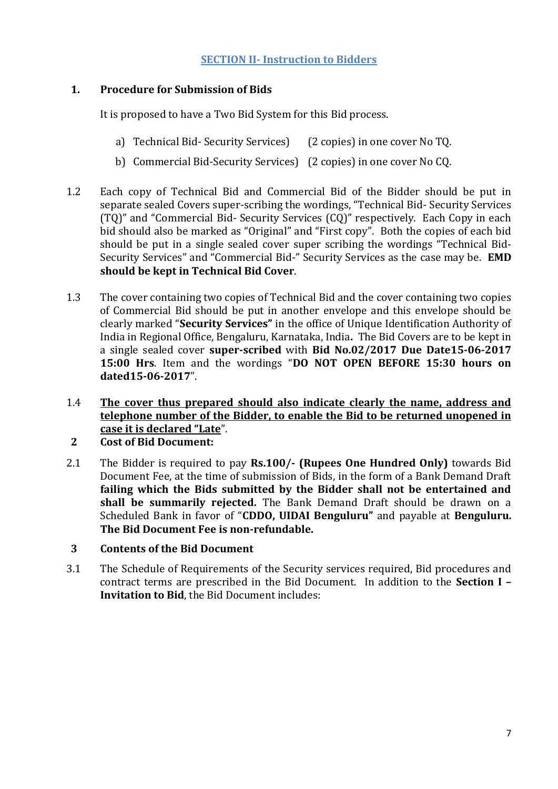#### **SECTION II- Instruction to Bidders**

# <span id="page-6-0"></span>**1. Procedure for Submission of Bids**

It is proposed to have a Two Bid System for this Bid process.

- a) Technical Bid- Security Services) (2 copies) in one cover No TQ.
- b) Commercial Bid-Security Services) (2 copies) in one cover No CQ.
- 1.2 Each copy of Technical Bid and Commercial Bid of the Bidder should be put in separate sealed Covers super-scribing the wordings, "Technical Bid- Security Services (TQ)" and "Commercial Bid- Security Services (CQ)" respectively. Each Copy in each bid should also be marked as "Original" and "First copy". Both the copies of each bid should be put in a single sealed cover super scribing the wordings "Technical Bid-Security Services" and "Commercial Bid-" Security Services as the case may be. **EMD should be kept in Technical Bid Cover**.
- 1.3 The cover containing two copies of Technical Bid and the cover containing two copies of Commercial Bid should be put in another envelope and this envelope should be clearly marked "**Security Services"** in the office of Unique Identification Authority of India in Regional Office, Bengaluru, Karnataka, India**.** The Bid Covers are to be kept in a single sealed cover **super-scribed** with **Bid No.02/2017 Due Date15-06-2017 15:00 Hrs**. Item and the wordings "**DO NOT OPEN BEFORE 15:30 hours on dated15-06-2017**".
- 1.4 **The cover thus prepared should also indicate clearly the name, address and telephone number of the Bidder, to enable the Bid to be returned unopened in case it is declared "Late**".

# **2 Cost of Bid Document:**

2.1 The Bidder is required to pay **Rs.100/- (Rupees One Hundred Only)** towards Bid Document Fee, at the time of submission of Bids, in the form of a Bank Demand Draft **failing which the Bids submitted by the Bidder shall not be entertained and shall be summarily rejected.** The Bank Demand Draft should be drawn on a Scheduled Bank in favor of "**CDDO, UIDAI Benguluru"** and payable at **Benguluru. The Bid Document Fee is non-refundable.**

#### **3 Contents of the Bid Document**

3.1 The Schedule of Requirements of the Security services required, Bid procedures and contract terms are prescribed in the Bid Document. In addition to the **Section I – Invitation to Bid**, the Bid Document includes: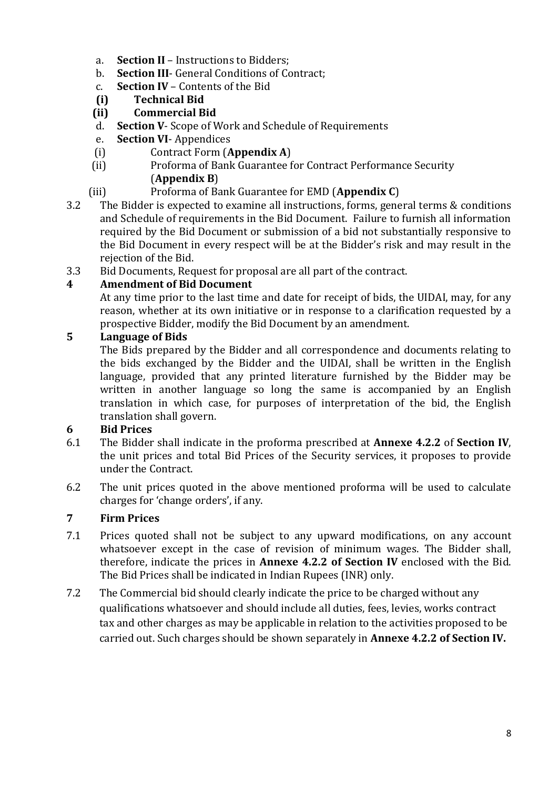- a. **Section II** Instructions to Bidders;
- b. **Section III** General Conditions of Contract;
- c. **Section IV** Contents of the Bid
- **(i) Technical Bid**
- **(ii) Commercial Bid**
- d. **Section V** Scope of Work and Schedule of Requirements
- e. **Section VI** Appendices
- (i) Contract Form (**Appendix A**)
- (ii) Proforma of Bank Guarantee for Contract Performance Security (**Appendix B**)
- (iii) Proforma of Bank Guarantee for EMD (**Appendix C**)
- 3.2 The Bidder is expected to examine all instructions, forms, general terms & conditions and Schedule of requirements in the Bid Document. Failure to furnish all information required by the Bid Document or submission of a bid not substantially responsive to the Bid Document in every respect will be at the Bidder's risk and may result in the rejection of the Bid.
- 3.3 Bid Documents, Request for proposal are all part of the contract.

# **4 Amendment of Bid Document**

At any time prior to the last time and date for receipt of bids, the UIDAI, may, for any reason, whether at its own initiative or in response to a clarification requested by a prospective Bidder, modify the Bid Document by an amendment.

# **5 Language of Bids**

The Bids prepared by the Bidder and all correspondence and documents relating to the bids exchanged by the Bidder and the UIDAI, shall be written in the English language, provided that any printed literature furnished by the Bidder may be written in another language so long the same is accompanied by an English translation in which case, for purposes of interpretation of the bid, the English translation shall govern.

# **6 Bid Prices**

- 6.1 The Bidder shall indicate in the proforma prescribed at **Annexe 4.2.2** of **Section IV**, the unit prices and total Bid Prices of the Security services, it proposes to provide under the Contract.
- 6.2 The unit prices quoted in the above mentioned proforma will be used to calculate charges for 'change orders', if any.

# **7 Firm Prices**

- 7.1 Prices quoted shall not be subject to any upward modifications, on any account whatsoever except in the case of revision of minimum wages. The Bidder shall, therefore, indicate the prices in **Annexe 4.2.2 of Section IV** enclosed with the Bid. The Bid Prices shall be indicated in Indian Rupees (INR) only.
- 7.2 The Commercial bid should clearly indicate the price to be charged without any qualifications whatsoever and should include all duties, fees, levies, works contract tax and other charges as may be applicable in relation to the activities proposed to be carried out. Such charges should be shown separately in **Annexe 4.2.2 of Section IV.**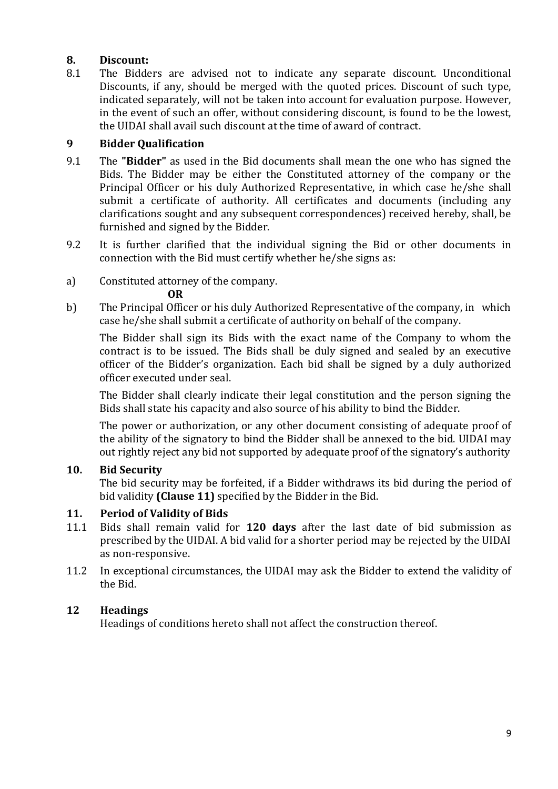#### **8. Discount:**

8.1 The Bidders are advised not to indicate any separate discount. Unconditional Discounts, if any, should be merged with the quoted prices. Discount of such type, indicated separately, will not be taken into account for evaluation purpose. However, in the event of such an offer, without considering discount, is found to be the lowest, the UIDAI shall avail such discount at the time of award of contract.

# **9 Bidder Qualification**

- 9.1 The **"Bidder"** as used in the Bid documents shall mean the one who has signed the Bids. The Bidder may be either the Constituted attorney of the company or the Principal Officer or his duly Authorized Representative, in which case he/she shall submit a certificate of authority. All certificates and documents (including any clarifications sought and any subsequent correspondences) received hereby, shall, be furnished and signed by the Bidder.
- 9.2 It is further clarified that the individual signing the Bid or other documents in connection with the Bid must certify whether he/she signs as:
- a) Constituted attorney of the company.

**OR**

b) The Principal Officer or his duly Authorized Representative of the company, in which case he/she shall submit a certificate of authority on behalf of the company.

The Bidder shall sign its Bids with the exact name of the Company to whom the contract is to be issued. The Bids shall be duly signed and sealed by an executive officer of the Bidder's organization. Each bid shall be signed by a duly authorized officer executed under seal.

The Bidder shall clearly indicate their legal constitution and the person signing the Bids shall state his capacity and also source of his ability to bind the Bidder.

The power or authorization, or any other document consisting of adequate proof of the ability of the signatory to bind the Bidder shall be annexed to the bid. UIDAI may out rightly reject any bid not supported by adequate proof of the signatory's authority

# **10. Bid Security**

The bid security may be forfeited, if a Bidder withdraws its bid during the period of bid validity **(Clause 11)** specified by the Bidder in the Bid.

# **11. Period of Validity of Bids**

- 11.1 Bids shall remain valid for **120 days** after the last date of bid submission as prescribed by the UIDAI. A bid valid for a shorter period may be rejected by the UIDAI as non-responsive.
- 11.2 In exceptional circumstances, the UIDAI may ask the Bidder to extend the validity of the Bid.

# **12 Headings**

Headings of conditions hereto shall not affect the construction thereof.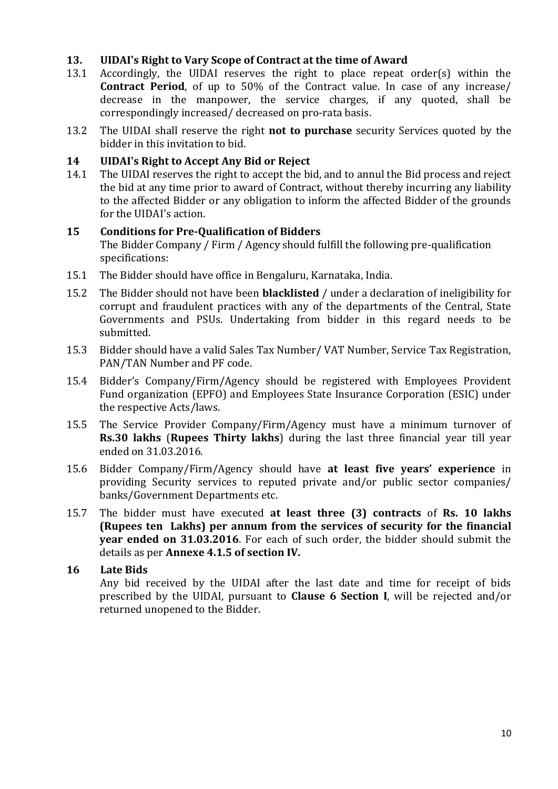#### **13. UIDAI's Right to Vary Scope of Contract at the time of Award**

- 13.1 Accordingly, the UIDAI reserves the right to place repeat order(s) within the **Contract Period**, of up to 50% of the Contract value. In case of any increase/ decrease in the manpower, the service charges, if any quoted, shall be correspondingly increased/ decreased on pro-rata basis.
- 13.2 The UIDAI shall reserve the right **not to purchase** security Services quoted by the bidder in this invitation to bid.

#### **14 UIDAI's Right to Accept Any Bid or Reject**

14.1 The UIDAI reserves the right to accept the bid, and to annul the Bid process and reject the bid at any time prior to award of Contract, without thereby incurring any liability to the affected Bidder or any obligation to inform the affected Bidder of the grounds for the UIDAI's action.

#### **15 Conditions for Pre-Qualification of Bidders**

The Bidder Company / Firm / Agency should fulfill the following pre-qualification specifications:

- 15.1 The Bidder should have office in Bengaluru, Karnataka, India.
- 15.2 The Bidder should not have been **blacklisted** / under a declaration of ineligibility for corrupt and fraudulent practices with any of the departments of the Central, State Governments and PSUs. Undertaking from bidder in this regard needs to be submitted.
- 15.3 Bidder should have a valid Sales Tax Number/ VAT Number, Service Tax Registration, PAN/TAN Number and PF code.
- 15.4 Bidder's Company/Firm/Agency should be registered with Employees Provident Fund organization (EPFO) and Employees State Insurance Corporation (ESIC) under the respective Acts/laws.
- 15.5 The Service Provider Company/Firm/Agency must have a minimum turnover of **Rs.30 lakhs** (**Rupees Thirty lakhs**) during the last three financial year till year ended on 31.03.2016.
- 15.6 Bidder Company/Firm/Agency should have **at least five years' experience** in providing Security services to reputed private and/or public sector companies/ banks/Government Departments etc.
- 15.7 The bidder must have executed **at least three (3) contracts** of **Rs. 10 lakhs (Rupees ten Lakhs) per annum from the services of security for the financial year ended on 31.03.2016**. For each of such order, the bidder should submit the details as per **Annexe 4.1.5 of section IV.**

# **16 Late Bids**

Any bid received by the UIDAI after the last date and time for receipt of bids prescribed by the UIDAI, pursuant to **Clause 6 Section I**, will be rejected and/or returned unopened to the Bidder.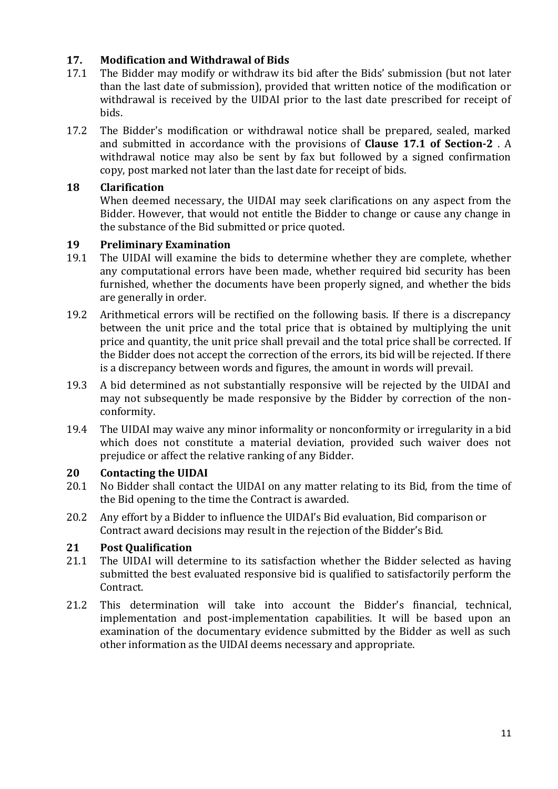# **17. Modification and Withdrawal of Bids**

- 17.1 The Bidder may modify or withdraw its bid after the Bids' submission (but not later than the last date of submission), provided that written notice of the modification or withdrawal is received by the UIDAI prior to the last date prescribed for receipt of bids.
- 17.2 The Bidder's modification or withdrawal notice shall be prepared, sealed, marked and submitted in accordance with the provisions of **Clause 17.1 of Section-2** . A withdrawal notice may also be sent by fax but followed by a signed confirmation copy, post marked not later than the last date for receipt of bids.

# **18 Clarification**

When deemed necessary, the UIDAI may seek clarifications on any aspect from the Bidder. However, that would not entitle the Bidder to change or cause any change in the substance of the Bid submitted or price quoted.

# **19 Preliminary Examination**

- 19.1 The UIDAI will examine the bids to determine whether they are complete, whether any computational errors have been made, whether required bid security has been furnished, whether the documents have been properly signed, and whether the bids are generally in order.
- 19.2 Arithmetical errors will be rectified on the following basis. If there is a discrepancy between the unit price and the total price that is obtained by multiplying the unit price and quantity, the unit price shall prevail and the total price shall be corrected. If the Bidder does not accept the correction of the errors, its bid will be rejected. If there is a discrepancy between words and figures, the amount in words will prevail.
- 19.3 A bid determined as not substantially responsive will be rejected by the UIDAI and may not subsequently be made responsive by the Bidder by correction of the nonconformity.
- 19.4 The UIDAI may waive any minor informality or nonconformity or irregularity in a bid which does not constitute a material deviation, provided such waiver does not prejudice or affect the relative ranking of any Bidder.

# **20 Contacting the UIDAI**

- 20.1 No Bidder shall contact the UIDAI on any matter relating to its Bid, from the time of the Bid opening to the time the Contract is awarded.
- 20.2 Any effort by a Bidder to influence the UIDAI's Bid evaluation, Bid comparison or Contract award decisions may result in the rejection of the Bidder's Bid.

# **21 Post Qualification**

- 21.1 The UIDAI will determine to its satisfaction whether the Bidder selected as having submitted the best evaluated responsive bid is qualified to satisfactorily perform the Contract.
- 21.2 This determination will take into account the Bidder's financial, technical, implementation and post-implementation capabilities. It will be based upon an examination of the documentary evidence submitted by the Bidder as well as such other information as the UIDAI deems necessary and appropriate.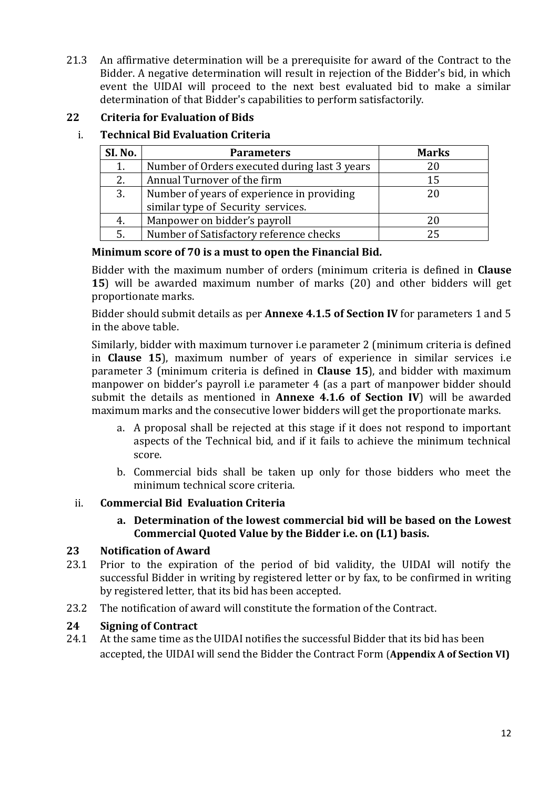21.3 An affirmative determination will be a prerequisite for award of the Contract to the Bidder. A negative determination will result in rejection of the Bidder's bid, in which event the UIDAI will proceed to the next best evaluated bid to make a similar determination of that Bidder's capabilities to perform satisfactorily.

# **22 Criteria for Evaluation of Bids**

# i. **Technical Bid Evaluation Criteria**

| SI. No. | <b>Parameters</b>                             | <b>Marks</b> |
|---------|-----------------------------------------------|--------------|
|         | Number of Orders executed during last 3 years | 20           |
| 2.      | Annual Turnover of the firm                   | 15           |
| 3.      | Number of years of experience in providing    | 20           |
|         | similar type of Security services.            |              |
| 4.      | Manpower on bidder's payroll                  | 20           |
| 5.      | Number of Satisfactory reference checks       | 25           |

#### **Minimum score of 70 is a must to open the Financial Bid.**

Bidder with the maximum number of orders (minimum criteria is defined in **Clause 15**) will be awarded maximum number of marks (20) and other bidders will get proportionate marks.

Bidder should submit details as per **Annexe 4.1.5 of Section IV** for parameters 1 and 5 in the above table.

Similarly, bidder with maximum turnover i.e parameter 2 (minimum criteria is defined in **Clause 15**), maximum number of years of experience in similar services i.e parameter 3 (minimum criteria is defined in **Clause 15**), and bidder with maximum manpower on bidder's payroll i.e parameter 4 (as a part of manpower bidder should submit the details as mentioned in **Annexe 4.1.6 of Section IV**) will be awarded maximum marks and the consecutive lower bidders will get the proportionate marks.

- a. A proposal shall be rejected at this stage if it does not respond to important aspects of the Technical bid, and if it fails to achieve the minimum technical score.
- b. Commercial bids shall be taken up only for those bidders who meet the minimum technical score criteria.

# ii. **Commercial Bid Evaluation Criteria**

**a. Determination of the lowest commercial bid will be based on the Lowest Commercial Quoted Value by the Bidder i.e. on (L1) basis.**

# **23 Notification of Award**

- 23.1 Prior to the expiration of the period of bid validity, the UIDAI will notify the successful Bidder in writing by registered letter or by fax, to be confirmed in writing by registered letter, that its bid has been accepted.
- 23.2 The notification of award will constitute the formation of the Contract.

# **24 Signing of Contract**

24.1 At the same time as the UIDAI notifies the successful Bidder that its bid has been accepted, the UIDAI will send the Bidder the Contract Form (**Appendix A of Section VI)**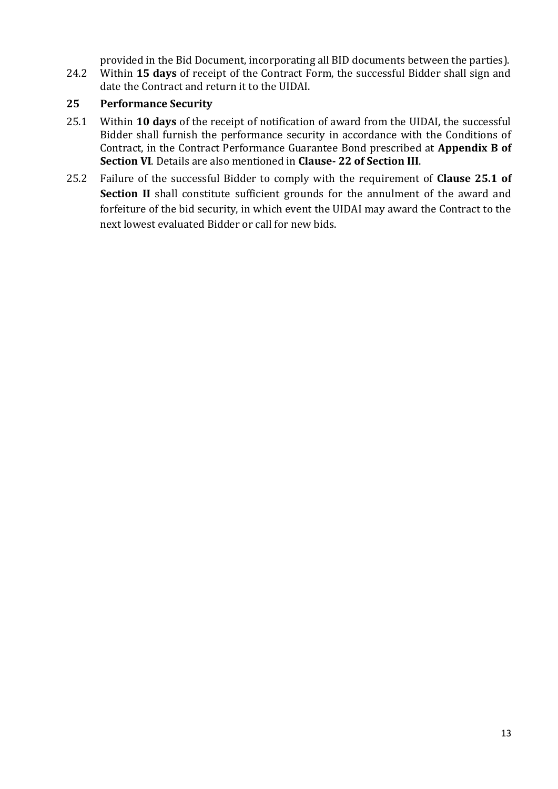provided in the Bid Document, incorporating all BID documents between the parties).

24.2 Within **15 days** of receipt of the Contract Form, the successful Bidder shall sign and date the Contract and return it to the UIDAI.

# **25 Performance Security**

- 25.1 Within **10 days** of the receipt of notification of award from the UIDAI, the successful Bidder shall furnish the performance security in accordance with the Conditions of Contract, in the Contract Performance Guarantee Bond prescribed at **Appendix B of Section VI**. Details are also mentioned in **Clause- 22 of Section III**.
- 25.2 Failure of the successful Bidder to comply with the requirement of **Clause 25.1 of Section II** shall constitute sufficient grounds for the annulment of the award and forfeiture of the bid security, in which event the UIDAI may award the Contract to the next lowest evaluated Bidder or call for new bids.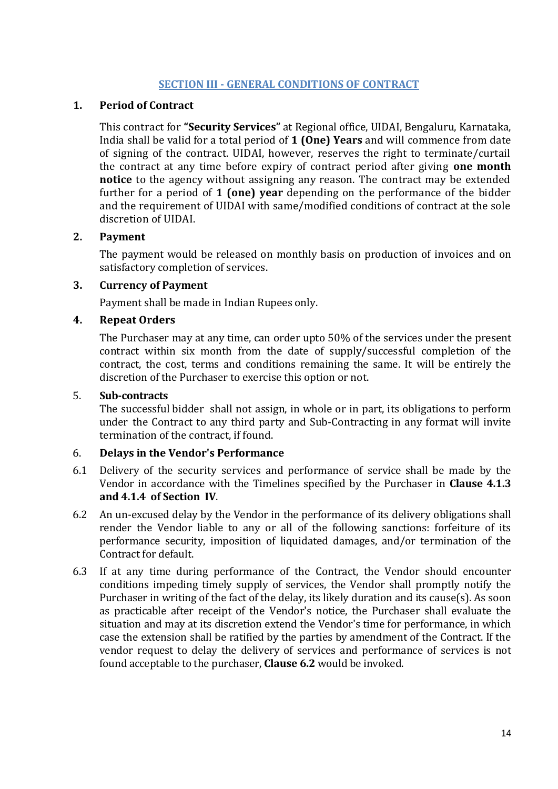#### **SECTION III - GENERAL CONDITIONS OF CONTRACT**

#### <span id="page-13-0"></span>**1. Period of Contract**

This contract for **"Security Services"** at Regional office, UIDAI, Bengaluru, Karnataka, India shall be valid for a total period of **1 (One) Years** and will commence from date of signing of the contract. UIDAI, however, reserves the right to terminate/curtail the contract at any time before expiry of contract period after giving **one month notice** to the agency without assigning any reason. The contract may be extended further for a period of **1 (one) year** depending on the performance of the bidder and the requirement of UIDAI with same/modified conditions of contract at the sole discretion of UIDAI.

#### **2. Payment**

The payment would be released on monthly basis on production of invoices and on satisfactory completion of services.

#### **3. Currency of Payment**

Payment shall be made in Indian Rupees only.

#### **4. Repeat Orders**

The Purchaser may at any time, can order upto 50% of the services under the present contract within six month from the date of supply/successful completion of the contract, the cost, terms and conditions remaining the same. It will be entirely the discretion of the Purchaser to exercise this option or not.

#### 5. **Sub-contracts**

The successful bidder shall not assign, in whole or in part, its obligations to perform under the Contract to any third party and Sub-Contracting in any format will invite termination of the contract, if found.

# 6. **Delays in the Vendor's Performance**

- 6.1 Delivery of the security services and performance of service shall be made by the Vendor in accordance with the Timelines specified by the Purchaser in **Clause 4.1.3 and 4.1.4 of Section IV**.
- 6.2 An un-excused delay by the Vendor in the performance of its delivery obligations shall render the Vendor liable to any or all of the following sanctions: forfeiture of its performance security, imposition of liquidated damages, and/or termination of the Contract for default.
- 6.3 If at any time during performance of the Contract, the Vendor should encounter conditions impeding timely supply of services, the Vendor shall promptly notify the Purchaser in writing of the fact of the delay, its likely duration and its cause(s). As soon as practicable after receipt of the Vendor's notice, the Purchaser shall evaluate the situation and may at its discretion extend the Vendor's time for performance, in which case the extension shall be ratified by the parties by amendment of the Contract. If the vendor request to delay the delivery of services and performance of services is not found acceptable to the purchaser, **Clause 6.2** would be invoked.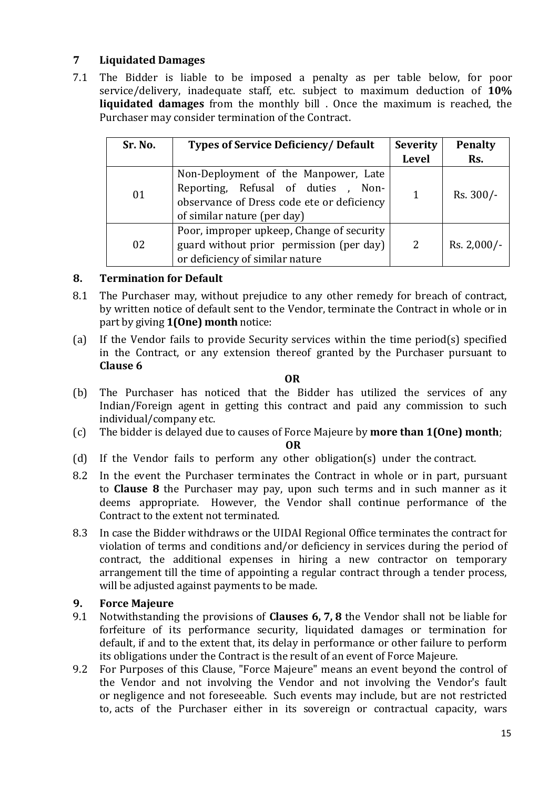# **7 Liquidated Damages**

7.1 The Bidder is liable to be imposed a penalty as per table below, for poor service/delivery, inadequate staff, etc. subject to maximum deduction of **10% liquidated damages** from the monthly bill . Once the maximum is reached, the Purchaser may consider termination of the Contract.

| Sr. No.                                                                                                                        | <b>Types of Service Deficiency/ Default</b>                                                                                                              | <b>Severity</b> | <b>Penalty</b> |
|--------------------------------------------------------------------------------------------------------------------------------|----------------------------------------------------------------------------------------------------------------------------------------------------------|-----------------|----------------|
|                                                                                                                                |                                                                                                                                                          | <b>Level</b>    | Rs.            |
| 01                                                                                                                             | Non-Deployment of the Manpower, Late<br>Reporting, Refusal of duties , Non-<br>observance of Dress code ete or deficiency<br>of similar nature (per day) | 1               | Rs. 300/-      |
| Poor, improper upkeep, Change of security<br>guard without prior permission (per day)<br>02<br>or deficiency of similar nature |                                                                                                                                                          | $\overline{2}$  | Rs. 2,000/-    |

# **8. Termination for Default**

- 8.1 The Purchaser may, without prejudice to any other remedy for breach of contract, by written notice of default sent to the Vendor, terminate the Contract in whole or in part by giving **1(One) month** notice:
- (a) If the Vendor fails to provide Security services within the time period(s) specified in the Contract, or any extension thereof granted by the Purchaser pursuant to **Clause 6**

#### **OR**

- (b) The Purchaser has noticed that the Bidder has utilized the services of any Indian/Foreign agent in getting this contract and paid any commission to such individual/company etc.
- (c) The bidder is delayed due to causes of Force Majeure by **more than 1(One) month**;

**OR**

- (d) If the Vendor fails to perform any other obligation(s) under the contract.
- 8.2 In the event the Purchaser terminates the Contract in whole or in part, pursuant to **Clause 8** the Purchaser may pay, upon such terms and in such manner as it deems appropriate. However, the Vendor shall continue performance of the Contract to the extent not terminated.
- 8.3 In case the Bidder withdraws or the UIDAI Regional Office terminates the contract for violation of terms and conditions and/or deficiency in services during the period of contract, the additional expenses in hiring a new contractor on temporary arrangement till the time of appointing a regular contract through a tender process, will be adjusted against payments to be made.

# **9. Force Majeure**

- 9.1 Notwithstanding the provisions of **Clauses 6, 7, 8** the Vendor shall not be liable for forfeiture of its performance security, liquidated damages or termination for default, if and to the extent that, its delay in performance or other failure to perform its obligations under the Contract is the result of an event of Force Majeure.
- 9.2 For Purposes of this Clause, "Force Majeure" means an event beyond the control of the Vendor and not involving the Vendor and not involving the Vendor's fault or negligence and not foreseeable. Such events may include, but are not restricted to, acts of the Purchaser either in its sovereign or contractual capacity, wars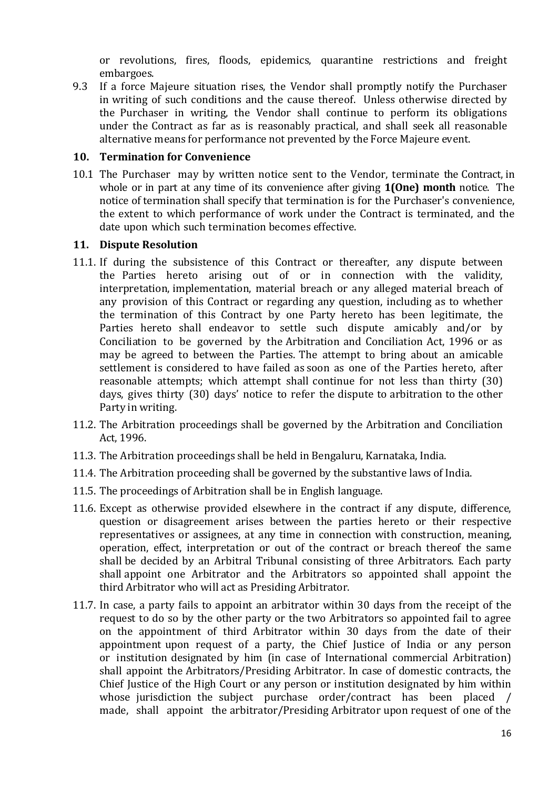or revolutions, fires, floods, epidemics, quarantine restrictions and freight embargoes.

9.3 If a force Majeure situation rises, the Vendor shall promptly notify the Purchaser in writing of such conditions and the cause thereof. Unless otherwise directed by the Purchaser in writing, the Vendor shall continue to perform its obligations under the Contract as far as is reasonably practical, and shall seek all reasonable alternative means for performance not prevented by the Force Majeure event.

#### **10. Termination for Convenience**

10.1 The Purchaser may by written notice sent to the Vendor, terminate the Contract, in whole or in part at any time of its convenience after giving **1(One) month** notice. The notice of termination shall specify that termination is for the Purchaser's convenience, the extent to which performance of work under the Contract is terminated, and the date upon which such termination becomes effective.

#### **11. Dispute Resolution**

- 11.1. If during the subsistence of this Contract or thereafter, any dispute between the Parties hereto arising out of or in connection with the validity, interpretation, implementation, material breach or any alleged material breach of any provision of this Contract or regarding any question, including as to whether the termination of this Contract by one Party hereto has been legitimate, the Parties hereto shall endeavor to settle such dispute amicably and/or by Conciliation to be governed by the Arbitration and Conciliation Act, 1996 or as may be agreed to between the Parties. The attempt to bring about an amicable settlement is considered to have failed as soon as one of the Parties hereto, after reasonable attempts; which attempt shall continue for not less than thirty (30) days, gives thirty (30) days' notice to refer the dispute to arbitration to the other Party in writing.
- 11.2. The Arbitration proceedings shall be governed by the Arbitration and Conciliation Act, 1996.
- 11.3. The Arbitration proceedings shall be held in Bengaluru, Karnataka, India.
- 11.4. The Arbitration proceeding shall be governed by the substantive laws of India.
- 11.5. The proceedings of Arbitration shall be in English language.
- 11.6. Except as otherwise provided elsewhere in the contract if any dispute, difference, question or disagreement arises between the parties hereto or their respective representatives or assignees, at any time in connection with construction, meaning, operation, effect, interpretation or out of the contract or breach thereof the same shall be decided by an Arbitral Tribunal consisting of three Arbitrators. Each party shall appoint one Arbitrator and the Arbitrators so appointed shall appoint the third Arbitrator who will act as Presiding Arbitrator.
- 11.7. In case, a party fails to appoint an arbitrator within 30 days from the receipt of the request to do so by the other party or the two Arbitrators so appointed fail to agree on the appointment of third Arbitrator within 30 days from the date of their appointment upon request of a party, the Chief Justice of India or any person or institution designated by him (in case of International commercial Arbitration) shall appoint the Arbitrators/Presiding Arbitrator. In case of domestic contracts, the Chief Justice of the High Court or any person or institution designated by him within whose jurisdiction the subject purchase order/contract has been placed / made, shall appoint the arbitrator/Presiding Arbitrator upon request of one of the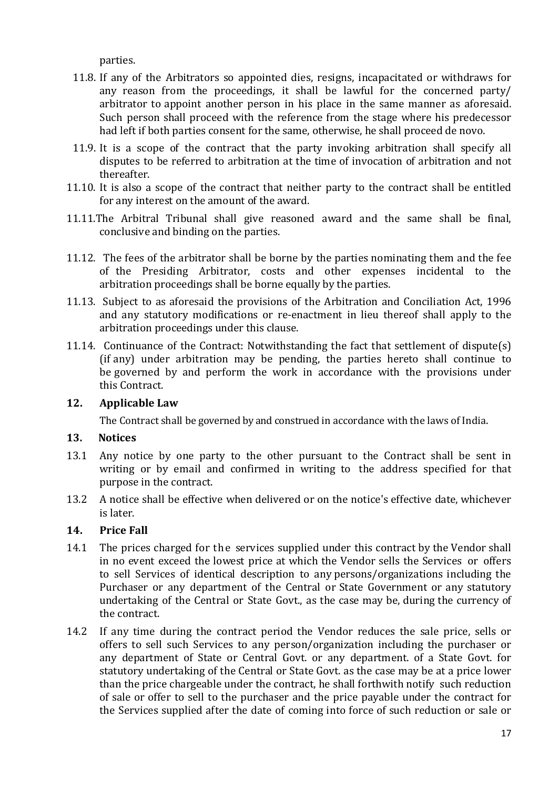parties.

- 11.8. If any of the Arbitrators so appointed dies, resigns, incapacitated or withdraws for any reason from the proceedings, it shall be lawful for the concerned party/ arbitrator to appoint another person in his place in the same manner as aforesaid. Such person shall proceed with the reference from the stage where his predecessor had left if both parties consent for the same, otherwise, he shall proceed de novo.
- 11.9. It is a scope of the contract that the party invoking arbitration shall specify all disputes to be referred to arbitration at the time of invocation of arbitration and not thereafter.
- 11.10. It is also a scope of the contract that neither party to the contract shall be entitled for any interest on the amount of the award.
- 11.11.The Arbitral Tribunal shall give reasoned award and the same shall be final, conclusive and binding on the parties.
- 11.12. The fees of the arbitrator shall be borne by the parties nominating them and the fee of the Presiding Arbitrator, costs and other expenses incidental to the arbitration proceedings shall be borne equally by the parties.
- 11.13. Subject to as aforesaid the provisions of the Arbitration and Conciliation Act, 1996 and any statutory modifications or re-enactment in lieu thereof shall apply to the arbitration proceedings under this clause.
- 11.14. Continuance of the Contract: Notwithstanding the fact that settlement of dispute(s) (if any) under arbitration may be pending, the parties hereto shall continue to be governed by and perform the work in accordance with the provisions under this Contract.

#### **12. Applicable Law**

The Contract shall be governed by and construed in accordance with the laws of India.

#### **13. Notices**

- 13.1 Any notice by one party to the other pursuant to the Contract shall be sent in writing or by email and confirmed in writing to the address specified for that purpose in the contract.
- 13.2 A notice shall be effective when delivered or on the notice's effective date, whichever is later.

# **14. Price Fall**

- 14.1 The prices charged for the services supplied under this contract by the Vendor shall in no event exceed the lowest price at which the Vendor sells the Services or offers to sell Services of identical description to any persons/organizations including the Purchaser or any department of the Central or State Government or any statutory undertaking of the Central or State Govt., as the case may be, during the currency of the contract.
- 14.2 If any time during the contract period the Vendor reduces the sale price, sells or offers to sell such Services to any person/organization including the purchaser or any department of State or Central Govt. or any department. of a State Govt. for statutory undertaking of the Central or State Govt. as the case may be at a price lower than the price chargeable under the contract, he shall forthwith notify such reduction of sale or offer to sell to the purchaser and the price payable under the contract for the Services supplied after the date of coming into force of such reduction or sale or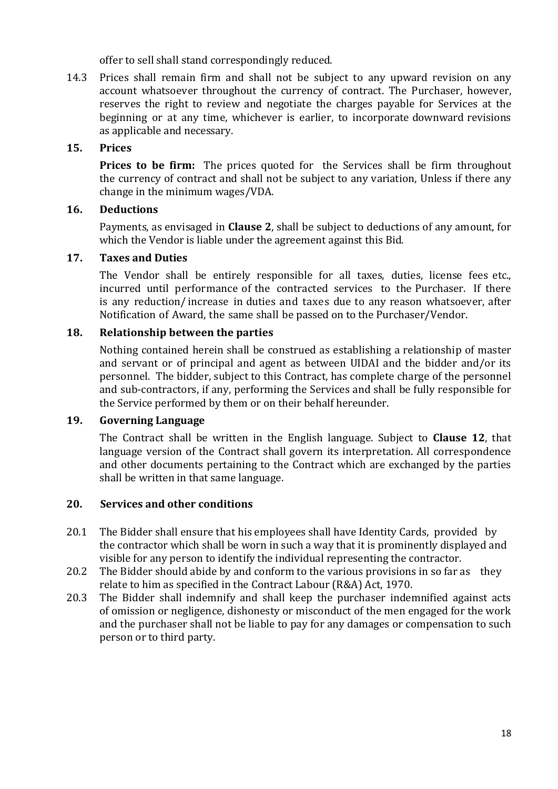offer to sell shall stand correspondingly reduced.

14.3 Prices shall remain firm and shall not be subject to any upward revision on any account whatsoever throughout the currency of contract. The Purchaser, however, reserves the right to review and negotiate the charges payable for Services at the beginning or at any time, whichever is earlier, to incorporate downward revisions as applicable and necessary.

#### **15. Prices**

**Prices to be firm:** The prices quoted for the Services shall be firm throughout the currency of contract and shall not be subject to any variation, Unless if there any change in the minimum wages/VDA.

#### **16. Deductions**

Payments, as envisaged in **Clause 2**, shall be subject to deductions of any amount, for which the Vendor is liable under the agreement against this Bid.

#### **17. Taxes and Duties**

The Vendor shall be entirely responsible for all taxes, duties, license fees etc., incurred until performance of the contracted services to the Purchaser. If there is any reduction/ increase in duties and taxes due to any reason whatsoever, after Notification of Award, the same shall be passed on to the Purchaser/Vendor.

#### **18. Relationship between the parties**

Nothing contained herein shall be construed as establishing a relationship of master and servant or of principal and agent as between UIDAI and the bidder and/or its personnel. The bidder, subject to this Contract, has complete charge of the personnel and sub-contractors, if any, performing the Services and shall be fully responsible for the Service performed by them or on their behalf hereunder.

#### **19. Governing Language**

The Contract shall be written in the English language. Subject to **Clause 12**, that language version of the Contract shall govern its interpretation. All correspondence and other documents pertaining to the Contract which are exchanged by the parties shall be written in that same language.

#### **20. Services and other conditions**

- 20.1 The Bidder shall ensure that his employees shall have Identity Cards, provided by the contractor which shall be worn in such a way that it is prominently displayed and visible for any person to identify the individual representing the contractor.
- 20.2 The Bidder should abide by and conform to the various provisions in so far as they relate to him as specified in the Contract Labour (R&A) Act, 1970.
- 20.3 The Bidder shall indemnify and shall keep the purchaser indemnified against acts of omission or negligence, dishonesty or misconduct of the men engaged for the work and the purchaser shall not be liable to pay for any damages or compensation to such person or to third party.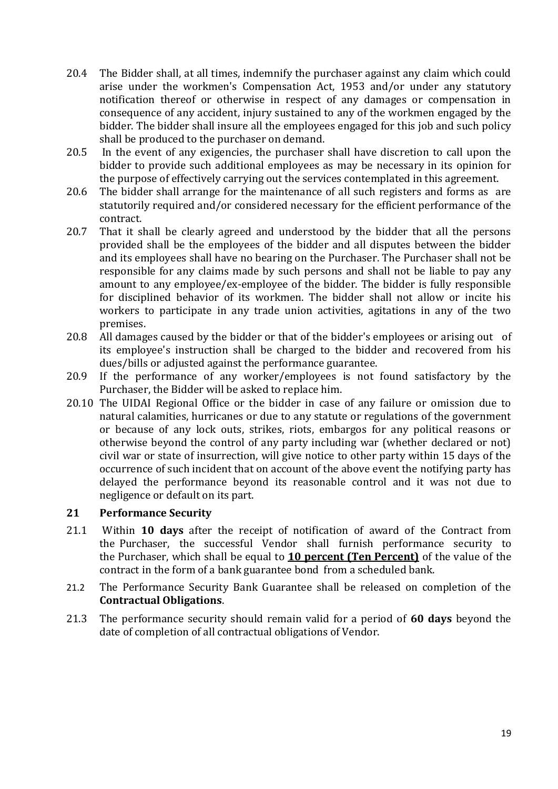- 20.4 The Bidder shall, at all times, indemnify the purchaser against any claim which could arise under the workmen's Compensation Act, 1953 and/or under any statutory notification thereof or otherwise in respect of any damages or compensation in consequence of any accident, injury sustained to any of the workmen engaged by the bidder. The bidder shall insure all the employees engaged for this job and such policy shall be produced to the purchaser on demand.
- 20.5 In the event of any exigencies, the purchaser shall have discretion to call upon the bidder to provide such additional employees as may be necessary in its opinion for the purpose of effectively carrying out the services contemplated in this agreement.
- 20.6 The bidder shall arrange for the maintenance of all such registers and forms as are statutorily required and/or considered necessary for the efficient performance of the contract.
- 20.7 That it shall be clearly agreed and understood by the bidder that all the persons provided shall be the employees of the bidder and all disputes between the bidder and its employees shall have no bearing on the Purchaser. The Purchaser shall not be responsible for any claims made by such persons and shall not be liable to pay any amount to any employee/ex-employee of the bidder. The bidder is fully responsible for disciplined behavior of its workmen. The bidder shall not allow or incite his workers to participate in any trade union activities, agitations in any of the two premises.
- 20.8 All damages caused by the bidder or that of the bidder's employees or arising out of its employee's instruction shall be charged to the bidder and recovered from his dues/bills or adjusted against the performance guarantee.
- 20.9 If the performance of any worker/employees is not found satisfactory by the Purchaser, the Bidder will be asked to replace him.
- 20.10 The UIDAI Regional Office or the bidder in case of any failure or omission due to natural calamities, hurricanes or due to any statute or regulations of the government or because of any lock outs, strikes, riots, embargos for any political reasons or otherwise beyond the control of any party including war (whether declared or not) civil war or state of insurrection, will give notice to other party within 15 days of the occurrence of such incident that on account of the above event the notifying party has delayed the performance beyond its reasonable control and it was not due to negligence or default on its part.

# **21 Performance Security**

- 21.1 Within **10 days** after the receipt of notification of award of the Contract from the Purchaser, the successful Vendor shall furnish performance security to the Purchaser, which shall be equal to **10 percent (Ten Percent)** of the value of the contract in the form of a bank guarantee bond from a scheduled bank.
- 21.2 The Performance Security Bank Guarantee shall be released on completion of the **Contractual Obligations**.
- 21.3 The performance security should remain valid for a period of **60 days** beyond the date of completion of all contractual obligations of Vendor.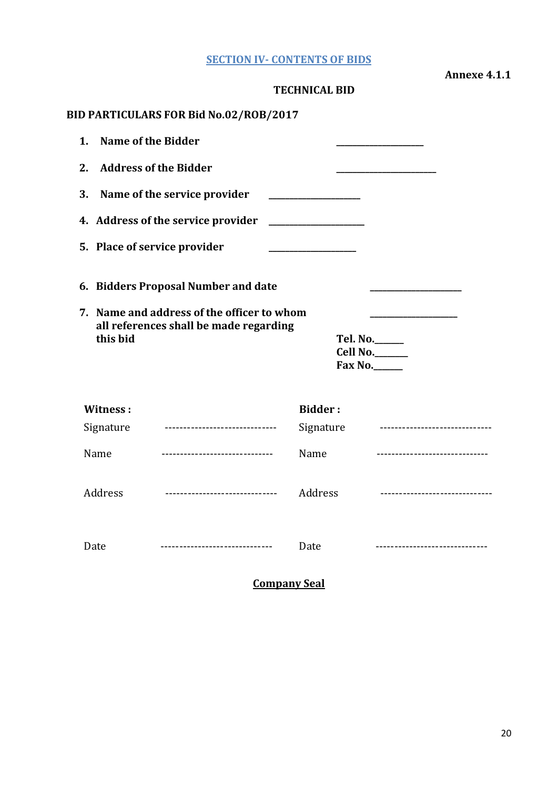|  | <b>SECTION IV- CONTENTS OF BIDS</b> |  |  |
|--|-------------------------------------|--|--|
|--|-------------------------------------|--|--|

**Annexe 4.1.1**

<span id="page-19-0"></span>

|                 |                                                                                      | <b>TECHNICAL BID</b> |                                 |
|-----------------|--------------------------------------------------------------------------------------|----------------------|---------------------------------|
|                 | <b>BID PARTICULARS FOR Bid No.02/ROB/2017</b>                                        |                      |                                 |
| 1.              | <b>Name of the Bidder</b>                                                            |                      |                                 |
| 2.              | <b>Address of the Bidder</b>                                                         |                      |                                 |
| 3.              | Name of the service provider                                                         |                      |                                 |
|                 | 4. Address of the service provider                                                   |                      |                                 |
|                 | 5. Place of service provider                                                         |                      |                                 |
|                 | 6. Bidders Proposal Number and date                                                  |                      |                                 |
| this bid        | 7. Name and address of the officer to whom<br>all references shall be made regarding |                      | Tel. No.<br>Cell No.<br>Fax No. |
| <b>Witness:</b> |                                                                                      | <b>Bidder:</b>       |                                 |
| Signature       | ------------------------------                                                       | Signature            | ------------------------------- |
| Name            |                                                                                      | Name                 | ------------------------------- |
| Address         | -----------------------------                                                        | Address              | ------------------------------  |
| Date            | -------------------------------                                                      | Date                 | ----------------------------    |

**Company Seal**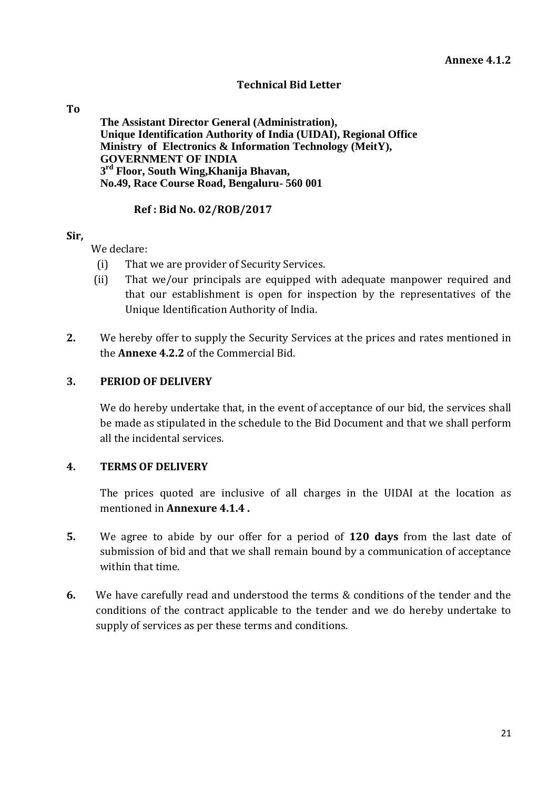#### **Technical Bid Letter**

#### **To**

**The Assistant Director General (Administration), Unique Identification Authority of India (UIDAI), Regional Office Ministry of Electronics & Information Technology (MeitY), GOVERNMENT OF INDIA 3 rd Floor, South Wing,Khanija Bhavan, No.49, Race Course Road, Bengaluru- 560 001**

#### **Ref : Bid No. 02/ROB/2017**

#### **Sir,**

We declare:

- (i) That we are provider of Security Services.
- (ii) That we/our principals are equipped with adequate manpower required and that our establishment is open for inspection by the representatives of the Unique Identification Authority of India.
- **2.** We hereby offer to supply the Security Services at the prices and rates mentioned in the **Annexe 4.2.2** of the Commercial Bid.

#### **3. PERIOD OF DELIVERY**

We do hereby undertake that, in the event of acceptance of our bid, the services shall be made as stipulated in the schedule to the Bid Document and that we shall perform all the incidental services.

#### **4. TERMS OF DELIVERY**

The prices quoted are inclusive of all charges in the UIDAI at the location as mentioned in **Annexure 4.1.4 .**

- **5.** We agree to abide by our offer for a period of **120 days** from the last date of submission of bid and that we shall remain bound by a communication of acceptance within that time.
- **6.** We have carefully read and understood the terms & conditions of the tender and the conditions of the contract applicable to the tender and we do hereby undertake to supply of services as per these terms and conditions.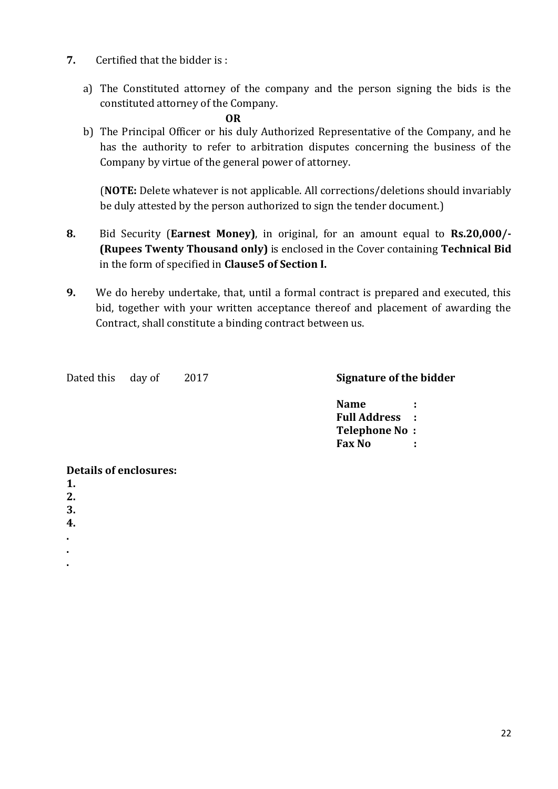- **7.** Certified that the bidder is :
	- a) The Constituted attorney of the company and the person signing the bids is the constituted attorney of the Company.

 **OR**

b) The Principal Officer or his duly Authorized Representative of the Company, and he has the authority to refer to arbitration disputes concerning the business of the Company by virtue of the general power of attorney.

(**NOTE:** Delete whatever is not applicable. All corrections/deletions should invariably be duly attested by the person authorized to sign the tender document.)

- **8.** Bid Security (**Earnest Money)**, in original, for an amount equal to **Rs.20,000/- (Rupees Twenty Thousand only)** is enclosed in the Cover containing **Technical Bid**  in the form of specified in **Clause5 of Section I.**
- **9.** We do hereby undertake, that, until a formal contract is prepared and executed, this bid, together with your written acceptance thereof and placement of awarding the Contract, shall constitute a binding contract between us.

Dated this day of 2017 **Signature of the bidder** 

**Name : Full Address : Telephone No : Fax No :**

#### **Details of enclosures:**

- **1.**
- **2.**
- **3.**
- **4.**
- **.**
- **.**
- **.**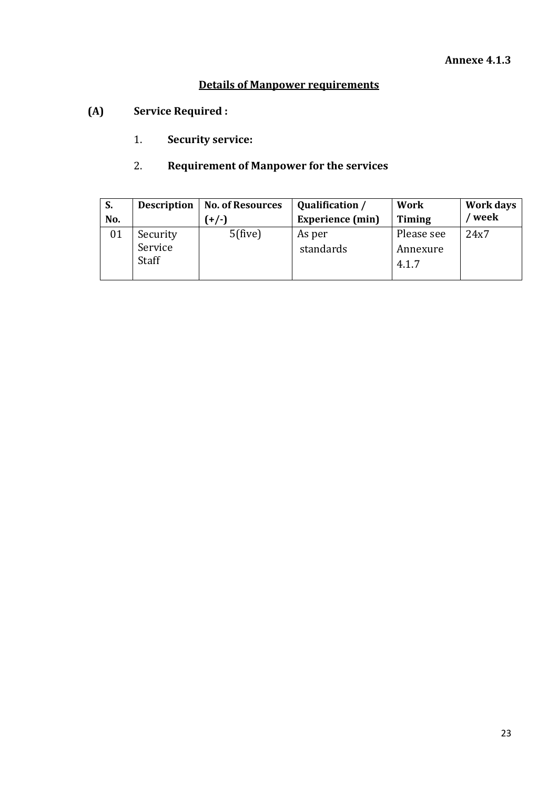# **Details of Manpower requirements**

- **(A) Service Required :**
	- 1. **Security service:**

# 2. **Requirement of Manpower for the services**

| S.  | <b>Description</b>           | <b>No. of Resources</b> | Qualification /         | <b>Work</b>                     | Work days |
|-----|------------------------------|-------------------------|-------------------------|---------------------------------|-----------|
| No. |                              | $(+/-)$                 | <b>Experience</b> (min) | <b>Timing</b>                   | week      |
| 01  | Security<br>Service<br>Staff | $5$ (five)              | As per<br>standards     | Please see<br>Annexure<br>4.1.7 | 24x7      |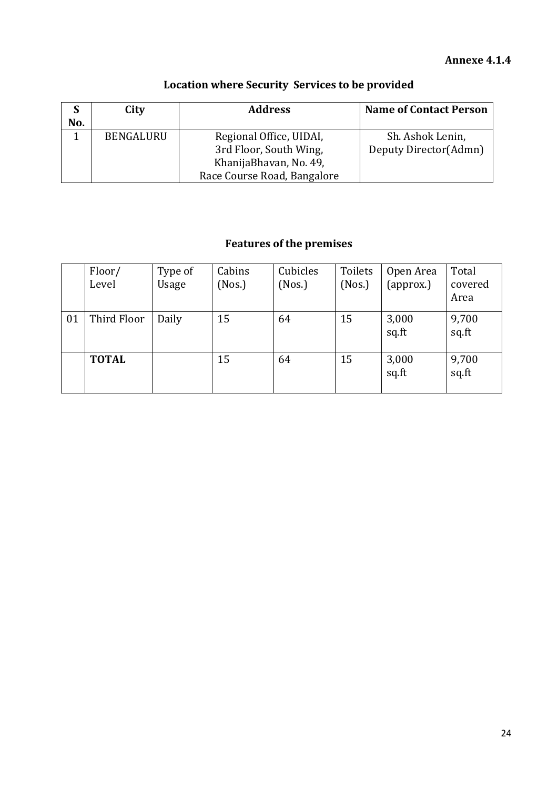# **Annexe 4.1.4**

| No.       | City | <b>Address</b>                                        | <b>Name of Contact Person</b>             |
|-----------|------|-------------------------------------------------------|-------------------------------------------|
| BENGALURU |      | Regional Office, UIDAI,<br>3rd Floor, South Wing,     | Sh. Ashok Lenin,<br>Deputy Director(Admn) |
|           |      | KhanijaBhavan, No. 49,<br>Race Course Road, Bangalore |                                           |

# **Location where Security Services to be provided**

# **Features of the premises**

|    | Floor/<br>Level | Type of<br>Usage | Cabins<br>(Nos.) | Cubicles<br>(Nos.) | Toilets<br>(Nos.) | Open Area<br>(approx.) | Total<br>covered<br>Area |
|----|-----------------|------------------|------------------|--------------------|-------------------|------------------------|--------------------------|
| 01 | Third Floor     | Daily            | 15               | 64                 | 15                | 3,000<br>sq.ft         | 9,700<br>sq.ft           |
|    | <b>TOTAL</b>    |                  | 15               | 64                 | 15                | 3,000<br>sq.ft         | 9,700<br>sq.ft           |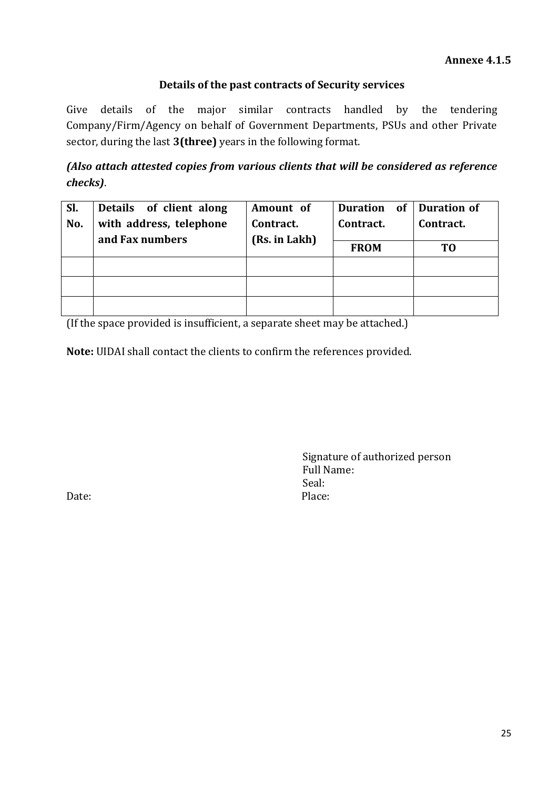# **Details of the past contracts of Security services**

Give details of the major similar contracts handled by the tendering Company/Firm/Agency on behalf of Government Departments, PSUs and other Private sector, during the last **3(three)** years in the following format.

*(Also attach attested copies from various clients that will be considered as reference checks)*.

| SI. | Details of client along | Amount of     | Duration of | <b>Duration of</b> |
|-----|-------------------------|---------------|-------------|--------------------|
| No. | with address, telephone | Contract.     | Contract.   | Contract.          |
|     | and Fax numbers         | (Rs. in Lakh) |             |                    |
|     |                         |               | <b>FROM</b> | T0                 |
|     |                         |               |             |                    |
|     |                         |               |             |                    |
|     |                         |               |             |                    |

(If the space provided is insufficient, a separate sheet may be attached.)

**Note:** UIDAI shall contact the clients to confirm the references provided.

Signature of authorized person Full Name: Seal: Date: Place: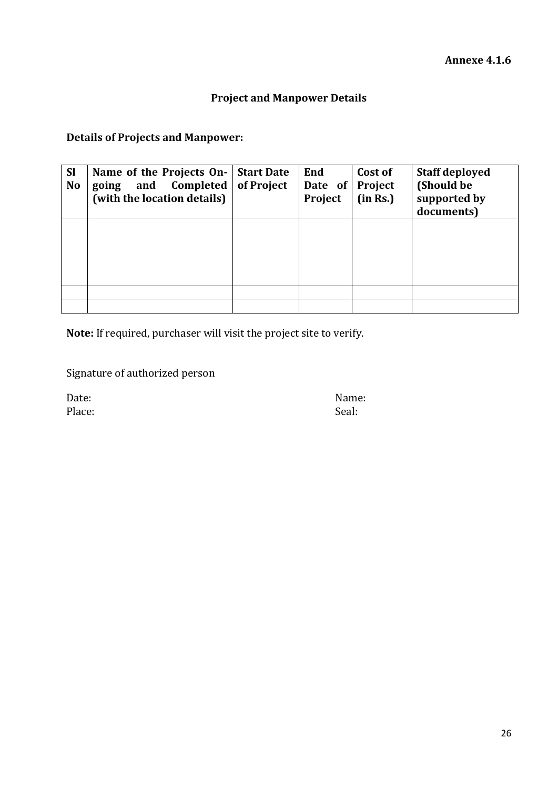# **Project and Manpower Details**

# **Details of Projects and Manpower:**

| <b>Sl</b><br><b>No</b> | Name of the Projects On-<br>and Completed<br>going<br>(with the location details) | <b>Start Date</b><br>of Project | End<br>Date of<br>Project | Cost of<br>Project<br>(in Rs.) | <b>Staff deployed</b><br>(Should be<br>supported by<br>documents) |
|------------------------|-----------------------------------------------------------------------------------|---------------------------------|---------------------------|--------------------------------|-------------------------------------------------------------------|
|                        |                                                                                   |                                 |                           |                                |                                                                   |
|                        |                                                                                   |                                 |                           |                                |                                                                   |
|                        |                                                                                   |                                 |                           |                                |                                                                   |

**Note:** If required, purchaser will visit the project site to verify.

Signature of authorized person

Place: Seal: Seal: Seal: Seal: Seal: Seal: Seal: Seal: Seal: Seal: Seal: Seal: Seal: Seal: Seal: Seal: Seal: Seal: Seal: Seal: Seal: Seal: Seal: Seal: Seal: Seal: Seal: Seal: Seal: Seal: Seal: Seal: Seal: Seal: Seal: Seal:

Date: Name: Name: Name: Name: Name: Name: Name: Name: Name: Name: Name: Name: Name: Name: Name: Name: Name: Name:  $\mathbb{N}$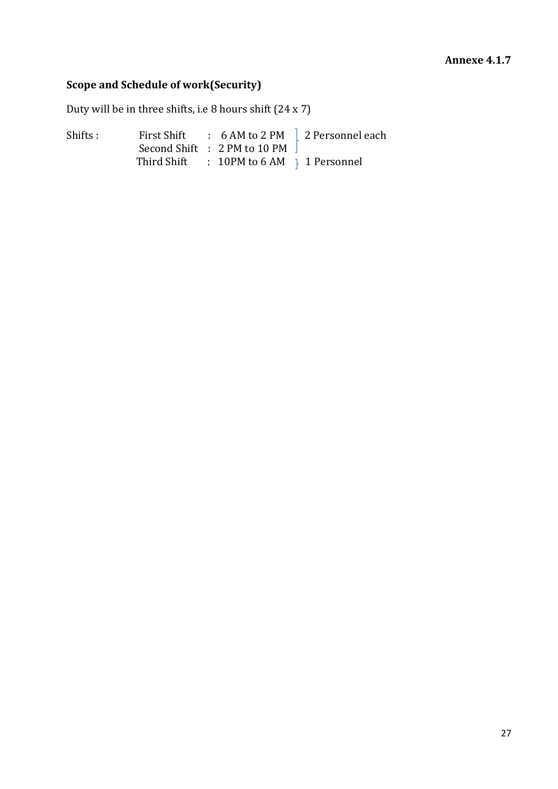#### **Annexe 4.1.7**

# **Scope and Schedule of work(Security)**

Duty will be in three shifts, i.e 8 hours shift (24 x 7)

Shifts : First Shift : 6 AM to 2 PM 2 Personnel each Second Shift : 2 PM to 10 PM Third Shift  $\therefore$  10PM to 6 AM  $\uparrow$  1 Personnel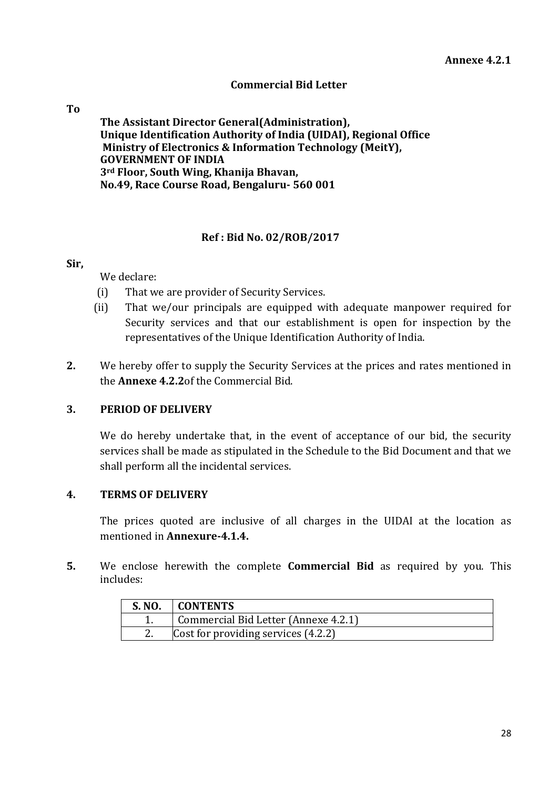#### **Commercial Bid Letter**

#### **To**

**The Assistant Director General(Administration), Unique Identification Authority of India (UIDAI), Regional Office Ministry of Electronics & Information Technology (MeitY), GOVERNMENT OF INDIA 3rd Floor, South Wing, Khanija Bhavan, No.49, Race Course Road, Bengaluru- 560 001**

#### **Ref : Bid No. 02/ROB/2017**

#### **Sir,**

We declare:

- (i) That we are provider of Security Services.
- (ii) That we/our principals are equipped with adequate manpower required for Security services and that our establishment is open for inspection by the representatives of the Unique Identification Authority of India.
- **2.** We hereby offer to supply the Security Services at the prices and rates mentioned in the **Annexe 4.2.2**of the Commercial Bid.

# **3. PERIOD OF DELIVERY**

We do hereby undertake that, in the event of acceptance of our bid, the security services shall be made as stipulated in the Schedule to the Bid Document and that we shall perform all the incidental services.

#### **4. TERMS OF DELIVERY**

The prices quoted are inclusive of all charges in the UIDAI at the location as mentioned in **Annexure-4.1.4.**

**5.** We enclose herewith the complete **Commercial Bid** as required by you. This includes:

| S. NO.    | <b>CONTENTS</b>                      |  |
|-----------|--------------------------------------|--|
|           | Commercial Bid Letter (Annexe 4.2.1) |  |
| <u>L.</u> | Cost for providing services (4.2.2)  |  |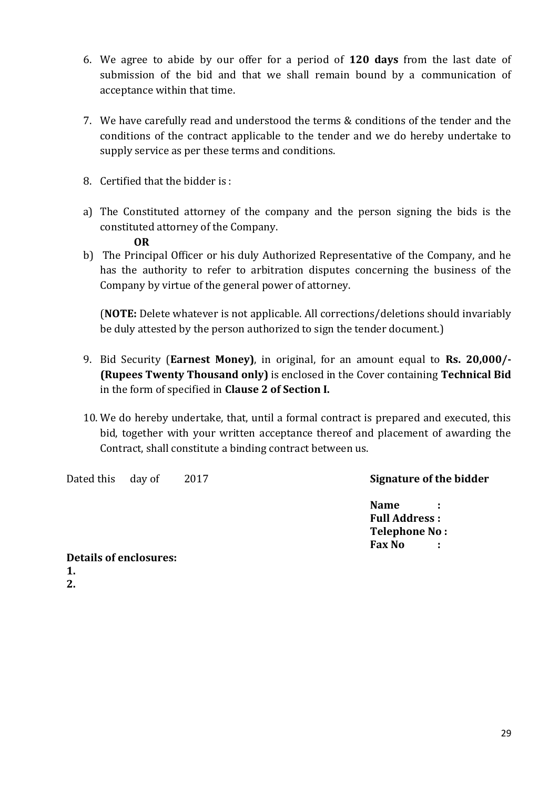- 6. We agree to abide by our offer for a period of **120 days** from the last date of submission of the bid and that we shall remain bound by a communication of acceptance within that time.
- 7. We have carefully read and understood the terms & conditions of the tender and the conditions of the contract applicable to the tender and we do hereby undertake to supply service as per these terms and conditions.
- 8. Certified that the bidder is :
- a) The Constituted attorney of the company and the person signing the bids is the constituted attorney of the Company.

#### **OR**

b) The Principal Officer or his duly Authorized Representative of the Company, and he has the authority to refer to arbitration disputes concerning the business of the Company by virtue of the general power of attorney.

(**NOTE:** Delete whatever is not applicable. All corrections/deletions should invariably be duly attested by the person authorized to sign the tender document.)

- 9. Bid Security (**Earnest Money)**, in original, for an amount equal to **Rs. 20,000/- (Rupees Twenty Thousand only)** is enclosed in the Cover containing **Technical Bid**  in the form of specified in **Clause 2 of Section I.**
- 10. We do hereby undertake, that, until a formal contract is prepared and executed, this bid, together with your written acceptance thereof and placement of awarding the Contract, shall constitute a binding contract between us.

Dated this day of 2017 **Signature of the bidder**

**Name : Full Address : Telephone No : Fax No :**

**Details of enclosures: 1. 2.**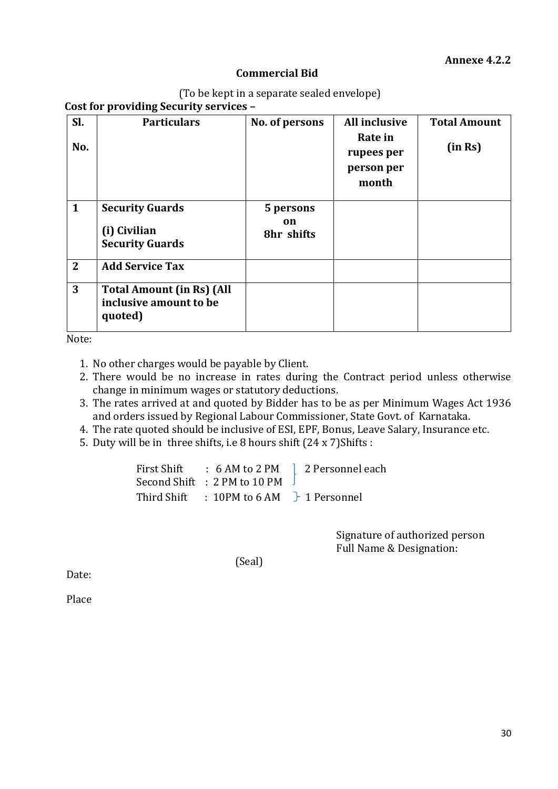#### **Commercial Bid**

|  | (To be kept in a separate sealed envelope) |
|--|--------------------------------------------|
|  |                                            |

**Cost for providing Security services –**

| Sl.<br>No.     | <b>Particulars</b>                                                    | No. of persons                | <b>All inclusive</b><br>Rate in<br>rupees per<br>person per<br>month | <b>Total Amount</b><br>(in Rs) |
|----------------|-----------------------------------------------------------------------|-------------------------------|----------------------------------------------------------------------|--------------------------------|
| $\mathbf{1}$   | <b>Security Guards</b><br>(i) Civilian<br><b>Security Guards</b>      | 5 persons<br>on<br>8hr shifts |                                                                      |                                |
| $\overline{2}$ | <b>Add Service Tax</b>                                                |                               |                                                                      |                                |
| 3              | <b>Total Amount (in Rs) (All</b><br>inclusive amount to be<br>quoted) |                               |                                                                      |                                |

Note:

1. No other charges would be payable by Client.

- 2. There would be no increase in rates during the Contract period unless otherwise change in minimum wages or statutory deductions.
- 3. The rates arrived at and quoted by Bidder has to be as per Minimum Wages Act 1936 and orders issued by Regional Labour Commissioner, State Govt. of Karnataka.
- 4. The rate quoted should be inclusive of ESI, EPF, Bonus, Leave Salary, Insurance etc.
- 5. Duty will be in three shifts, i.e 8 hours shift (24 x 7)Shifts :

| First Shift : 6 AM to 2 PM                           | 2 Personnel each |
|------------------------------------------------------|------------------|
| Second Shift : 2 PM to 10 PM                         |                  |
| Third Shift : 10PM to 6 AM $\rightarrow$ 1 Personnel |                  |

Signature of authorized person Full Name & Designation:

(Seal)

Date:

Place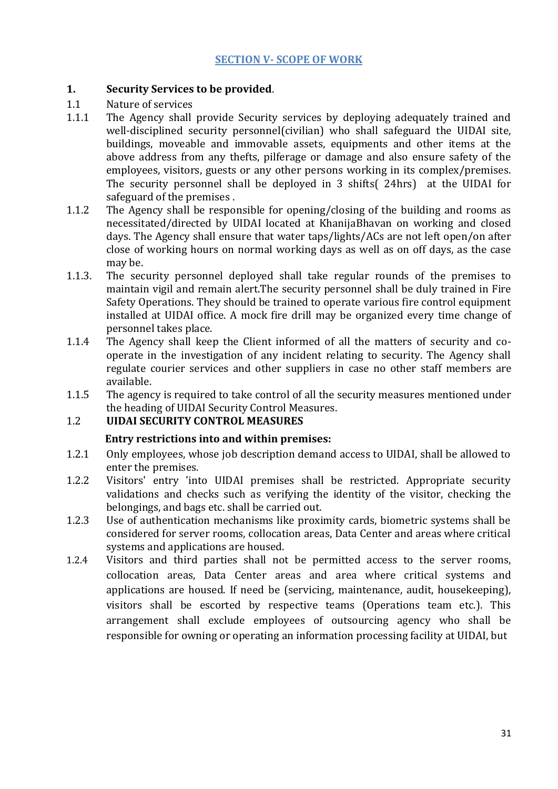#### **1. Security Services to be provided**.

- 1.1 Nature of services
- 1.1.1 The Agency shall provide Security services by deploying adequately trained and well-disciplined security personnel(civilian) who shall safeguard the UIDAI site, buildings, moveable and immovable assets, equipments and other items at the above address from any thefts, pilferage or damage and also ensure safety of the employees, visitors, guests or any other persons working in its complex/premises. The security personnel shall be deployed in 3 shifts( 24hrs) at the UIDAI for safeguard of the premises .
- 1.1.2 The Agency shall be responsible for opening/closing of the building and rooms as necessitated/directed by UIDAI located at KhanijaBhavan on working and closed days. The Agency shall ensure that water taps/lights/ACs are not left open/on after close of working hours on normal working days as well as on off days, as the case may be.
- 1.1.3. The security personnel deployed shall take regular rounds of the premises to maintain vigil and remain alert.The security personnel shall be duly trained in Fire Safety Operations. They should be trained to operate various fire control equipment installed at UIDAI office. A mock fire drill may be organized every time change of personnel takes place.
- 1.1.4 The Agency shall keep the Client informed of all the matters of security and cooperate in the investigation of any incident relating to security. The Agency shall regulate courier services and other suppliers in case no other staff members are available.
- 1.1.5 The agency is required to take control of all the security measures mentioned under the heading of UIDAI Security Control Measures.

# 1.2 **UIDAI SECURITY CONTROL MEASURES**

#### **Entry restrictions into and within premises:**

- 1.2.1 Only employees, whose job description demand access to UIDAI, shall be allowed to enter the premises.
- 1.2.2 Visitors' entry 'into UIDAI premises shall be restricted. Appropriate security validations and checks such as verifying the identity of the visitor, checking the belongings, and bags etc. shall be carried out.
- 1.2.3 Use of authentication mechanisms like proximity cards, biometric systems shall be considered for server rooms, collocation areas, Data Center and areas where critical systems and applications are housed.
- 1.2.4 Visitors and third parties shall not be permitted access to the server rooms, collocation areas, Data Center areas and area where critical systems and applications are housed. If need be (servicing, maintenance, audit, housekeeping), visitors shall be escorted by respective teams (Operations team etc.). This arrangement shall exclude employees of outsourcing agency who shall be responsible for owning or operating an information processing facility at UIDAI, but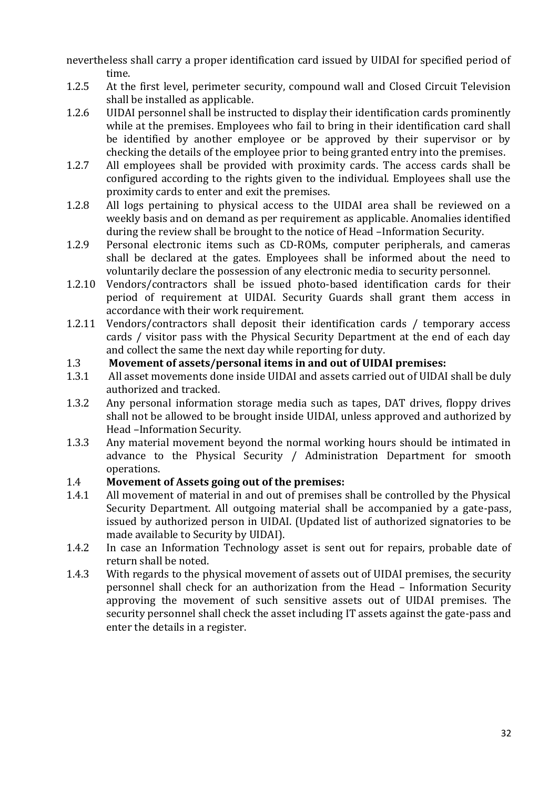nevertheless shall carry a proper identification card issued by UIDAI for specified period of time.

- 1.2.5 At the first level, perimeter security, compound wall and Closed Circuit Television shall be installed as applicable.
- 1.2.6 UIDAI personnel shall be instructed to display their identification cards prominently while at the premises. Employees who fail to bring in their identification card shall be identified by another employee or be approved by their supervisor or by checking the details of the employee prior to being granted entry into the premises.
- 1.2.7 All employees shall be provided with proximity cards. The access cards shall be configured according to the rights given to the individual. Employees shall use the proximity cards to enter and exit the premises.
- 1.2.8 All logs pertaining to physical access to the UIDAI area shall be reviewed on a weekly basis and on demand as per requirement as applicable. Anomalies identified during the review shall be brought to the notice of Head –Information Security.
- 1.2.9 Personal electronic items such as CD-ROMs, computer peripherals, and cameras shall be declared at the gates. Employees shall be informed about the need to voluntarily declare the possession of any electronic media to security personnel.
- 1.2.10 Vendors/contractors shall be issued photo-based identification cards for their period of requirement at UIDAI. Security Guards shall grant them access in accordance with their work requirement.
- 1.2.11 Vendors/contractors shall deposit their identification cards / temporary access cards / visitor pass with the Physical Security Department at the end of each day and collect the same the next day while reporting for duty.

# 1.3 **Movement of assets/personal items in and out of UIDAI premises:**

- 1.3.1 All asset movements done inside UIDAI and assets carried out of UIDAI shall be duly authorized and tracked.
- 1.3.2 Any personal information storage media such as tapes, DAT drives, floppy drives shall not be allowed to be brought inside UIDAI, unless approved and authorized by Head –Information Security.
- 1.3.3 Any material movement beyond the normal working hours should be intimated in advance to the Physical Security / Administration Department for smooth operations.

# 1.4 **Movement of Assets going out of the premises:**

- 1.4.1 All movement of material in and out of premises shall be controlled by the Physical Security Department. All outgoing material shall be accompanied by a gate-pass, issued by authorized person in UIDAI. (Updated list of authorized signatories to be made available to Security by UIDAI).
- 1.4.2 In case an Information Technology asset is sent out for repairs, probable date of return shall be noted.
- 1.4.3 With regards to the physical movement of assets out of UIDAI premises, the security personnel shall check for an authorization from the Head – Information Security approving the movement of such sensitive assets out of UIDAI premises. The security personnel shall check the asset including IT assets against the gate-pass and enter the details in a register.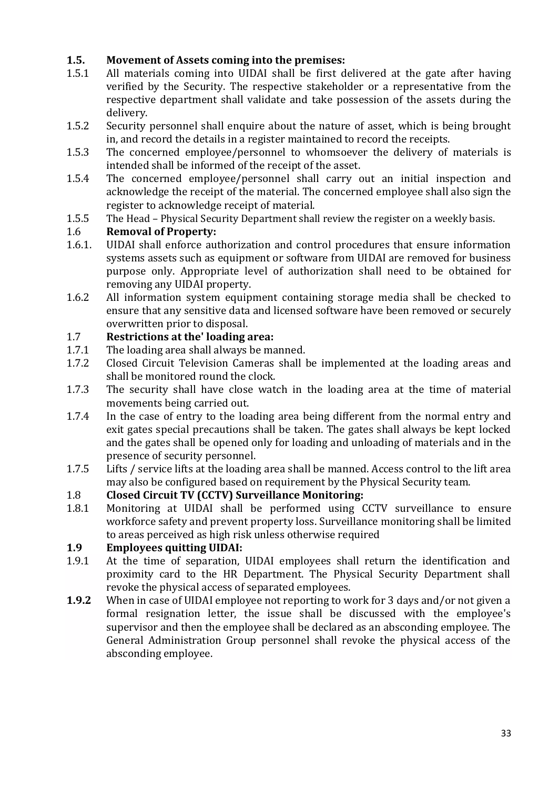# **1.5. Movement of Assets coming into the premises:**

- 1.5.1 All materials coming into UIDAI shall be first delivered at the gate after having verified by the Security. The respective stakeholder or a representative from the respective department shall validate and take possession of the assets during the delivery.
- 1.5.2 Security personnel shall enquire about the nature of asset, which is being brought in, and record the details in a register maintained to record the receipts.
- 1.5.3 The concerned employee/personnel to whomsoever the delivery of materials is intended shall be informed of the receipt of the asset.
- 1.5.4 The concerned employee/personnel shall carry out an initial inspection and acknowledge the receipt of the material. The concerned employee shall also sign the register to acknowledge receipt of material.
- 1.5.5 The Head Physical Security Department shall review the register on a weekly basis.

# 1.6 **Removal of Property:**

- 1.6.1. UIDAI shall enforce authorization and control procedures that ensure information systems assets such as equipment or software from UIDAI are removed for business purpose only. Appropriate level of authorization shall need to be obtained for removing any UIDAI property.
- 1.6.2 All information system equipment containing storage media shall be checked to ensure that any sensitive data and licensed software have been removed or securely overwritten prior to disposal.

# 1.7 **Restrictions at the' loading area:**

- 1.7.1 The loading area shall always be manned.
- 1.7.2 Closed Circuit Television Cameras shall be implemented at the loading areas and shall be monitored round the clock.
- 1.7.3 The security shall have close watch in the loading area at the time of material movements being carried out.
- 1.7.4 In the case of entry to the loading area being different from the normal entry and exit gates special precautions shall be taken. The gates shall always be kept locked and the gates shall be opened only for loading and unloading of materials and in the presence of security personnel.
- 1.7.5 Lifts / service lifts at the loading area shall be manned. Access control to the lift area may also be configured based on requirement by the Physical Security team.

# 1.8 **Closed Circuit TV (CCTV) Surveillance Monitoring:**

1.8.1 Monitoring at UIDAI shall be performed using CCTV surveillance to ensure workforce safety and prevent property loss. Surveillance monitoring shall be limited to areas perceived as high risk unless otherwise required

# **1.9 Employees quitting UIDAI:**

- 1.9.1 At the time of separation, UIDAI employees shall return the identification and proximity card to the HR Department. The Physical Security Department shall revoke the physical access of separated employees.
- **1.9.2** When in case of UIDAI employee not reporting to work for 3 days and/or not given a formal resignation letter, the issue shall be discussed with the employee's supervisor and then the employee shall be declared as an absconding employee. The General Administration Group personnel shall revoke the physical access of the absconding employee.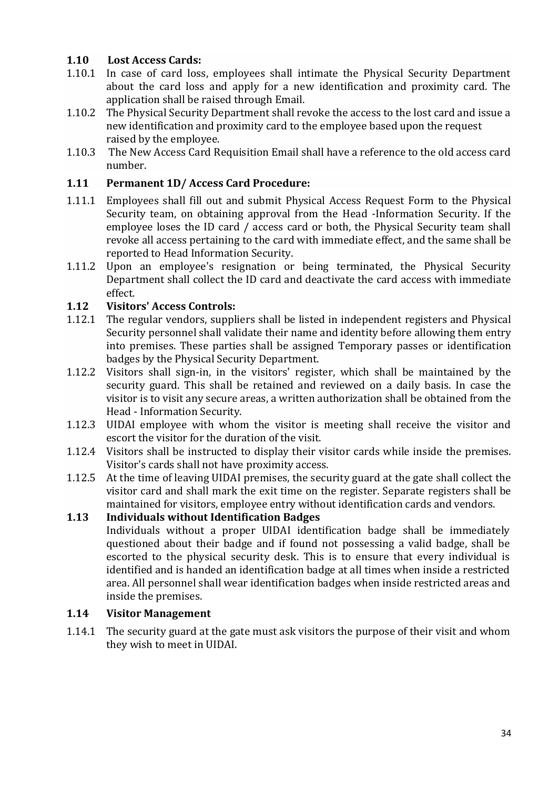# **1.10 Lost Access Cards:**

- 1.10.1 In case of card loss, employees shall intimate the Physical Security Department about the card loss and apply for a new identification and proximity card. The application shall be raised through Email.
- 1.10.2 The Physical Security Department shall revoke the access to the lost card and issue a new identification and proximity card to the employee based upon the request raised by the employee.
- 1.10.3 The New Access Card Requisition Email shall have a reference to the old access card number.

# **1.11 Permanent 1D/ Access Card Procedure:**

- 1.11.1 Employees shall fill out and submit Physical Access Request Form to the Physical Security team, on obtaining approval from the Head -Information Security. If the employee loses the ID card / access card or both, the Physical Security team shall revoke all access pertaining to the card with immediate effect, and the same shall be reported to Head Information Security.
- 1.11.2 Upon an employee's resignation or being terminated, the Physical Security Department shall collect the ID card and deactivate the card access with immediate effect.

# **1.12 Visitors' Access Controls:**

- 1.12.1 The regular vendors, suppliers shall be listed in independent registers and Physical Security personnel shall validate their name and identity before allowing them entry into premises. These parties shall be assigned Temporary passes or identification badges by the Physical Security Department.
- 1.12.2 Visitors shall sign-in, in the visitors' register, which shall be maintained by the security guard. This shall be retained and reviewed on a daily basis. In case the visitor is to visit any secure areas, a written authorization shall be obtained from the Head - Information Security.
- 1.12.3 UIDAI employee with whom the visitor is meeting shall receive the visitor and escort the visitor for the duration of the visit.
- 1.12.4 Visitors shall be instructed to display their visitor cards while inside the premises. Visitor's cards shall not have proximity access.
- 1.12.5 At the time of leaving UIDAI premises, the security guard at the gate shall collect the visitor card and shall mark the exit time on the register. Separate registers shall be maintained for visitors, employee entry without identification cards and vendors.

# **1.13 Individuals without Identification Badges**

Individuals without a proper UIDAI identification badge shall be immediately questioned about their badge and if found not possessing a valid badge, shall be escorted to the physical security desk. This is to ensure that every individual is identified and is handed an identification badge at all times when inside a restricted area. All personnel shall wear identification badges when inside restricted areas and inside the premises.

# **1.14 Visitor Management**

1.14.1 The security guard at the gate must ask visitors the purpose of their visit and whom they wish to meet in UIDAI.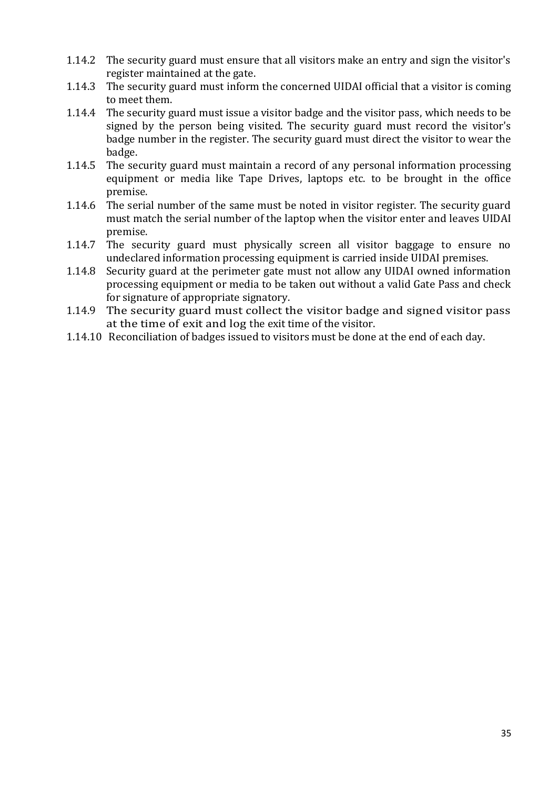- 1.14.2 The security guard must ensure that all visitors make an entry and sign the visitor's register maintained at the gate.
- 1.14.3 The security guard must inform the concerned UIDAI official that a visitor is coming to meet them.
- 1.14.4 The security guard must issue a visitor badge and the visitor pass, which needs to be signed by the person being visited. The security guard must record the visitor's badge number in the register. The security guard must direct the visitor to wear the badge.
- 1.14.5 The security guard must maintain a record of any personal information processing equipment or media like Tape Drives, laptops etc. to be brought in the office premise.
- 1.14.6 The serial number of the same must be noted in visitor register. The security guard must match the serial number of the laptop when the visitor enter and leaves UIDAI premise.
- 1.14.7 The security guard must physically screen all visitor baggage to ensure no undeclared information processing equipment is carried inside UIDAI premises.
- 1.14.8 Security guard at the perimeter gate must not allow any UIDAI owned information processing equipment or media to be taken out without a valid Gate Pass and check for signature of appropriate signatory.
- 1.14.9 The security guard must collect the visitor badge and signed visitor pass at the time of exit and log the exit time of the visitor.
- 1.14.10 Reconciliation of badges issued to visitors must be done at the end of each day.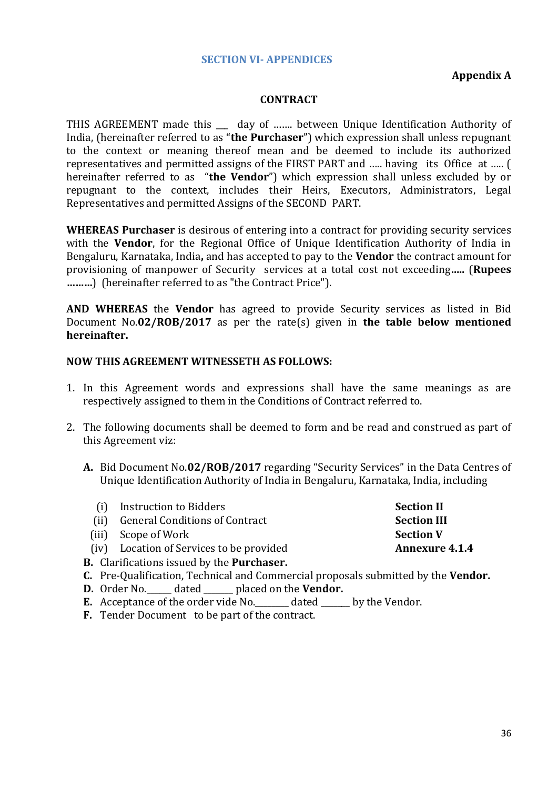#### **SECTION VI- APPENDICES**

#### **Appendix A**

#### **CONTRACT**

THIS AGREEMENT made this \_\_\_ day of ....... between Unique Identification Authority of India, (hereinafter referred to as "**the Purchaser**") which expression shall unless repugnant to the context or meaning thereof mean and be deemed to include its authorized representatives and permitted assigns of the FIRST PART and ….. having its Office at ….. ( hereinafter referred to as "**the Vendor**") which expression shall unless excluded by or repugnant to the context, includes their Heirs, Executors, Administrators, Legal Representatives and permitted Assigns of the SECOND PART.

**WHEREAS Purchaser** is desirous of entering into a contract for providing security services with the **Vendor**, for the Regional Office of Unique Identification Authority of India in Bengaluru, Karnataka, India**,** and has accepted to pay to the **Vendor** the contract amount for provisioning of manpower of Security services at a total cost not exceeding**…..** (**Rupees ………**) (hereinafter referred to as "the Contract Price").

**AND WHEREAS** the **Vendor** has agreed to provide Security services as listed in Bid Document No.**02/ROB/2017** as per the rate(s) given in **the table below mentioned hereinafter.**

#### **NOW THIS AGREEMENT WITNESSETH AS FOLLOWS:**

- 1. In this Agreement words and expressions shall have the same meanings as are respectively assigned to them in the Conditions of Contract referred to.
- 2. The following documents shall be deemed to form and be read and construed as part of this Agreement viz:
	- **A.** Bid Document No.**02/ROB/2017** regarding "Security Services" in the Data Centres of Unique Identification Authority of India in Bengaluru, Karnataka, India, including

|      | (i) Instruction to Bidders                               | <b>Section II</b>     |
|------|----------------------------------------------------------|-----------------------|
| (ii) | <b>General Conditions of Contract</b>                    | <b>Section III</b>    |
|      | (iii) Scope of Work                                      | <b>Section V</b>      |
|      | (iv) Location of Services to be provided                 | <b>Annexure 4.1.4</b> |
|      | <b>B.</b> Clarifications issued by the <b>Purchaser.</b> |                       |

- **C.** Pre-Qualification, Technical and Commercial proposals submitted by the **Vendor.**
- **D.** Order No.\_\_\_\_\_\_ dated \_\_\_\_\_\_\_ placed on the **Vendor.**
- **E.** Acceptance of the order vide No. dated by the Vendor.
- **F.** Tender Document to be part of the contract.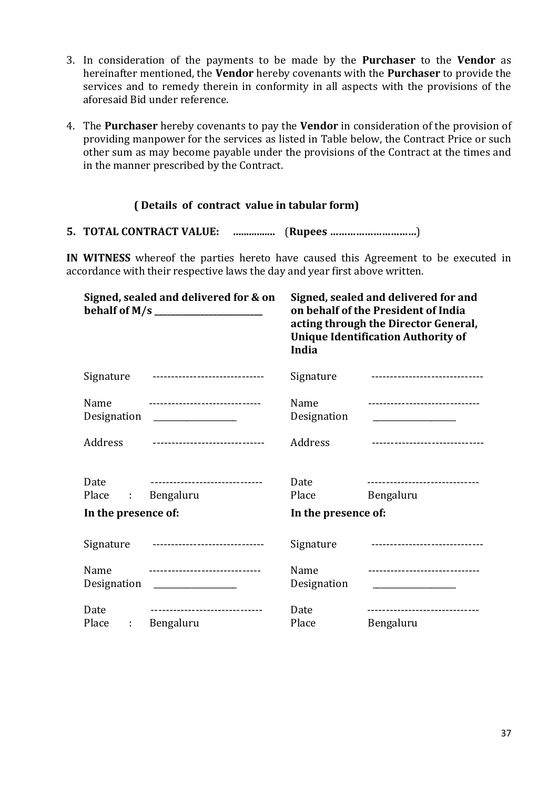- 3. In consideration of the payments to be made by the **Purchaser** to the **Vendor** as hereinafter mentioned, the **Vendor** hereby covenants with the **Purchaser** to provide the services and to remedy therein in conformity in all aspects with the provisions of the aforesaid Bid under reference.
- 4. The **Purchaser** hereby covenants to pay the **Vendor** in consideration of the provision of providing manpower for the services as listed in Table below, the Contract Price or such other sum as may become payable under the provisions of the Contract at the times and in the manner prescribed by the Contract.

#### **( Details of contract value in tabular form)**

**5. TOTAL CONTRACT VALUE: ….............** (**Rupees …………………………**)

**IN WITNESS** whereof the parties hereto have caused this Agreement to be executed in accordance with their respective laws the day and year first above written.

|                              | Signed, sealed and delivered for & on                                                                                                  | Signed, sealed and delivered for and<br>on behalf of the President of India<br>acting through the Director General,<br><b>Unique Identification Authority of</b><br>India |                                              |
|------------------------------|----------------------------------------------------------------------------------------------------------------------------------------|---------------------------------------------------------------------------------------------------------------------------------------------------------------------------|----------------------------------------------|
| Signature                    |                                                                                                                                        | Signature                                                                                                                                                                 | -------------------------------              |
| Name<br>Designation          | ------------------------------<br><u> 1986 - John Stein, Amerikaansk politiker (</u>                                                   | Name<br>Designation                                                                                                                                                       | -------------------------------              |
| Address                      | -------------------------------                                                                                                        | Address                                                                                                                                                                   | -------------------------------              |
| Date<br>Place<br>$\sim 1000$ | -------------------------------<br>Bengaluru                                                                                           | Date<br>Place                                                                                                                                                             | -------------------------------<br>Bengaluru |
| In the presence of:          |                                                                                                                                        | In the presence of:                                                                                                                                                       |                                              |
| Signature                    | ------------------------------                                                                                                         | Signature                                                                                                                                                                 | -------------------------------              |
| Name<br>Designation          | -------------------------------<br>$\overline{\phantom{a}}$ . The contract of the contract of the contract of $\overline{\phantom{a}}$ | Name<br>Designation                                                                                                                                                       | -------------------------------              |
| Date<br>Place<br>÷           | -------------------------------<br>Bengaluru                                                                                           | Date<br>Place                                                                                                                                                             | -----------------------------<br>Bengaluru   |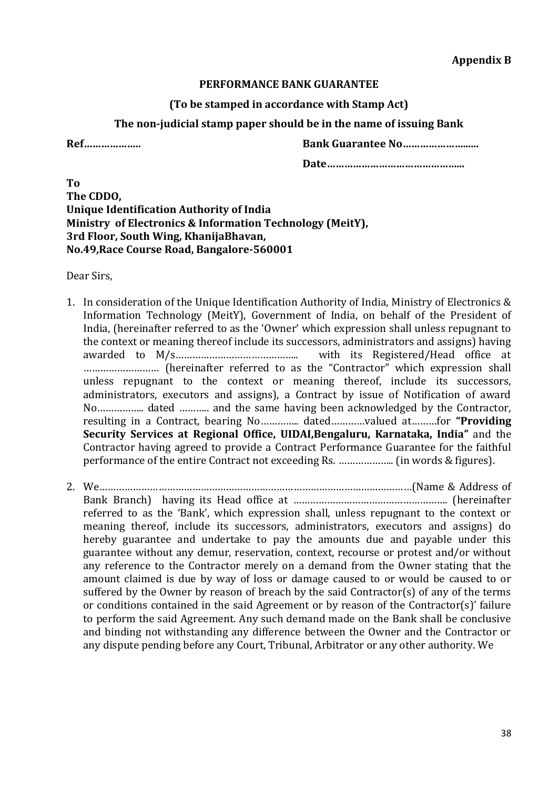#### **PERFORMANCE BANK GUARANTEE**

**(To be stamped in accordance with Stamp Act)**

#### **The non-judicial stamp paper should be in the name of issuing Bank**

**Ref……………….. Bank Guarantee No…………………......**

**Date………………………………………...**

**To The CDDO, Unique Identification Authority of India Ministry of Electronics & Information Technology (MeitY), 3rd Floor, South Wing, KhanijaBhavan, No.49,Race Course Road, Bangalore-560001**

Dear Sirs,

- 1. In consideration of the Unique Identification Authority of India, Ministry of Electronics & Information Technology (MeitY), Government of India, on behalf of the President of India, (hereinafter referred to as the 'Owner' which expression shall unless repugnant to the context or meaning thereof include its successors, administrators and assigns) having awarded to M/s…………………………………….. with its Registered/Head office at ……………………… (hereinafter referred to as the "Contractor" which expression shall unless repugnant to the context or meaning thereof, include its successors, administrators, executors and assigns), a Contract by issue of Notification of award No…………….. dated ……….. and the same having been acknowledged by the Contractor, resulting in a Contract, bearing No………….. dated…………valued at………for **"Providing Security Services at Regional Office, UIDAI,Bengaluru, Karnataka, India"** and the Contractor having agreed to provide a Contract Performance Guarantee for the faithful performance of the entire Contract not exceeding Rs. ……………….. (in words & figures).
- 2. We…………………………………………………………………………………………………(Name & Address of Bank Branch) having its Head office at ………………………………………………. (hereinafter referred to as the 'Bank', which expression shall, unless repugnant to the context or meaning thereof, include its successors, administrators, executors and assigns) do hereby guarantee and undertake to pay the amounts due and payable under this guarantee without any demur, reservation, context, recourse or protest and/or without any reference to the Contractor merely on a demand from the Owner stating that the amount claimed is due by way of loss or damage caused to or would be caused to or suffered by the Owner by reason of breach by the said Contractor(s) of any of the terms or conditions contained in the said Agreement or by reason of the Contractor(s)' failure to perform the said Agreement. Any such demand made on the Bank shall be conclusive and binding not withstanding any difference between the Owner and the Contractor or any dispute pending before any Court, Tribunal, Arbitrator or any other authority. We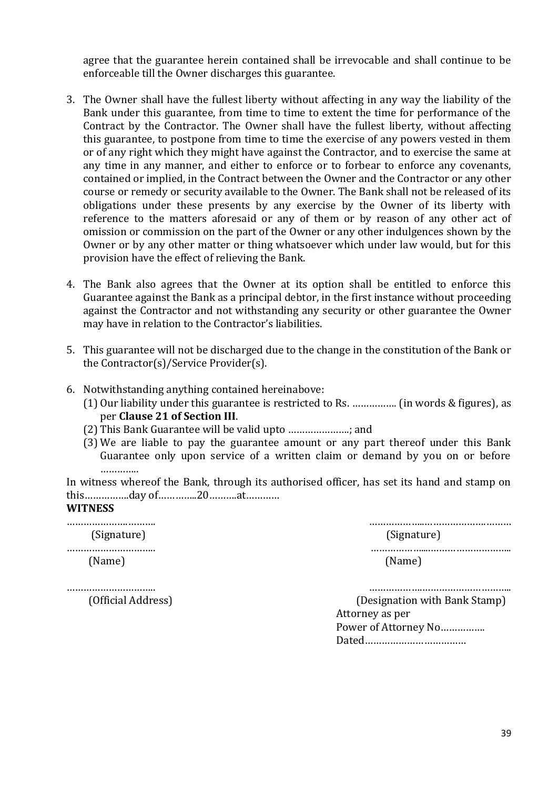agree that the guarantee herein contained shall be irrevocable and shall continue to be enforceable till the Owner discharges this guarantee.

- 3. The Owner shall have the fullest liberty without affecting in any way the liability of the Bank under this guarantee, from time to time to extent the time for performance of the Contract by the Contractor. The Owner shall have the fullest liberty, without affecting this guarantee, to postpone from time to time the exercise of any powers vested in them or of any right which they might have against the Contractor, and to exercise the same at any time in any manner, and either to enforce or to forbear to enforce any covenants, contained or implied, in the Contract between the Owner and the Contractor or any other course or remedy or security available to the Owner. The Bank shall not be released of its obligations under these presents by any exercise by the Owner of its liberty with reference to the matters aforesaid or any of them or by reason of any other act of omission or commission on the part of the Owner or any other indulgences shown by the Owner or by any other matter or thing whatsoever which under law would, but for this provision have the effect of relieving the Bank.
- 4. The Bank also agrees that the Owner at its option shall be entitled to enforce this Guarantee against the Bank as a principal debtor, in the first instance without proceeding against the Contractor and not withstanding any security or other guarantee the Owner may have in relation to the Contractor's liabilities.
- 5. This guarantee will not be discharged due to the change in the constitution of the Bank or the Contractor(s)/Service Provider(s).
- 6. Notwithstanding anything contained hereinabove:
	- (1) Our liability under this guarantee is restricted to Rs. ……………. (in words & figures), as per **Clause 21 of Section III**.
	- (2) This Bank Guarantee will be valid upto ………………….; and
	- (3) We are liable to pay the guarantee amount or any part thereof under this Bank Guarantee only upon service of a written claim or demand by you on or before …………

In witness whereof the Bank, through its authorised officer, has set its hand and stamp on this…………….day of…………..20……….at…………

#### **WITNESS**

| (Signature) | (Signature) |
|-------------|-------------|
|             |             |
| (Name)      | (Name)      |

………………………….. ……………….…………………………..

 (Official Address) (Designation with Bank Stamp) Attorney as per Power of Attorney No……………. Dated………………………………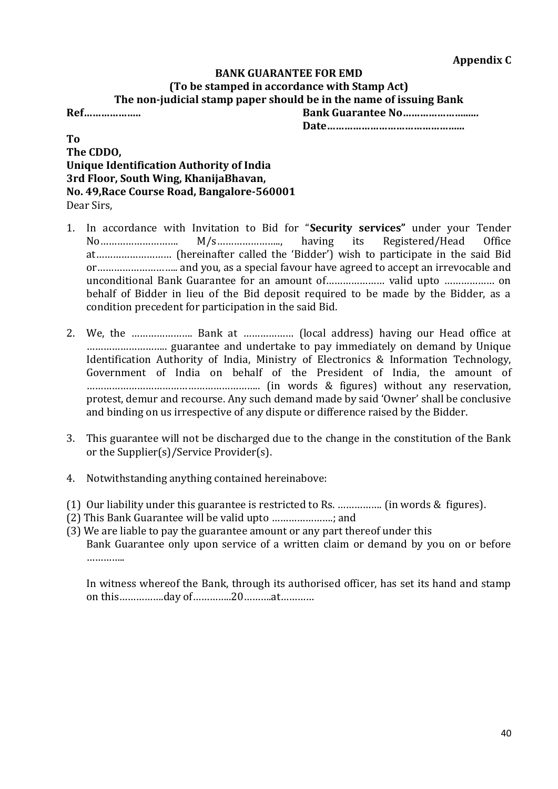# **BANK GUARANTEE FOR EMD (To be stamped in accordance with Stamp Act) The non-judicial stamp paper should be in the name of issuing Bank Ref……………….. Bank Guarantee No…………………......**

**Date………………………………………...**

#### **To The CDDO, Unique Identification Authority of India 3rd Floor, South Wing, KhanijaBhavan, No. 49,Race Course Road, Bangalore-560001** Dear Sirs,

- 1. In accordance with Invitation to Bid for "**Security services"** under your Tender No………………………. M/s………………….., having its Registered/Head Office at……………………… (hereinafter called the 'Bidder') wish to participate in the said Bid or……………………….. and you, as a special favour have agreed to accept an irrevocable and unconditional Bank Guarantee for an amount of………………… valid upto ……………… on behalf of Bidder in lieu of the Bid deposit required to be made by the Bidder, as a condition precedent for participation in the said Bid.
- 2. We, the …………………. Bank at ……………… (local address) having our Head office at ……………………….. guarantee and undertake to pay immediately on demand by Unique Identification Authority of India, Ministry of Electronics & Information Technology, Government of India on behalf of the President of India, the amount of …………………………………………………….. (in words & figures) without any reservation, protest, demur and recourse. Any such demand made by said 'Owner' shall be conclusive and binding on us irrespective of any dispute or difference raised by the Bidder.
- 3. This guarantee will not be discharged due to the change in the constitution of the Bank or the Supplier(s)/Service Provider(s).
- 4. Notwithstanding anything contained hereinabove:
- (1) Our liability under this guarantee is restricted to Rs. ……………. (in words & figures).
- (2) This Bank Guarantee will be valid upto ………………….; and
- (3) We are liable to pay the guarantee amount or any part thereof under this Bank Guarantee only upon service of a written claim or demand by you on or before …………

In witness whereof the Bank, through its authorised officer, has set its hand and stamp on this…………….day of…………..20……….at…………